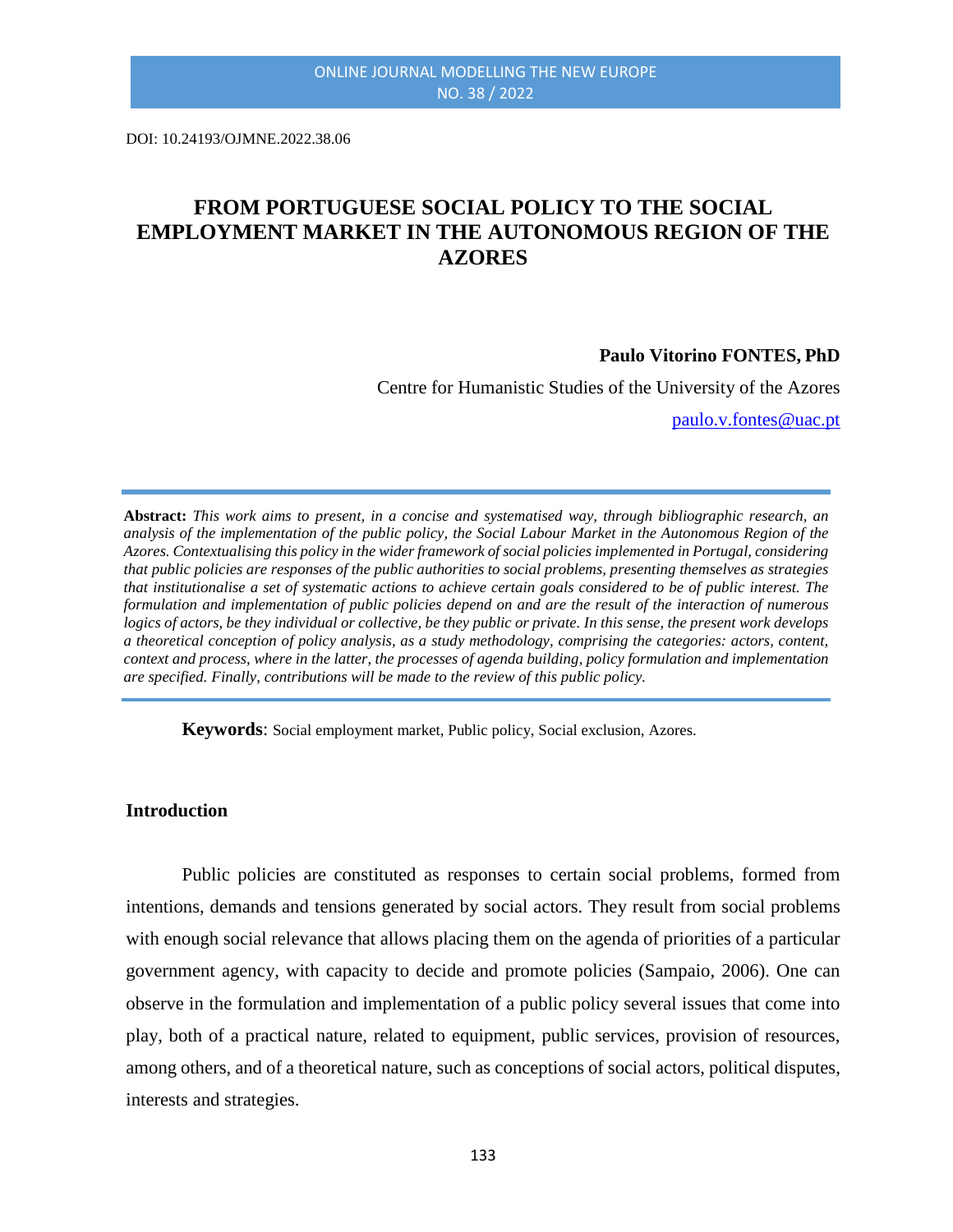DOI: 10.24193/OJMNE.2022.38.06

# **FROM PORTUGUESE SOCIAL POLICY TO THE SOCIAL EMPLOYMENT MARKET IN THE AUTONOMOUS REGION OF THE AZORES**

#### **Paulo Vitorino FONTES, PhD**

Centre for Humanistic Studies of the University of the Azores

[paulo.v.fontes@uac.pt](mailto:paulo.v.fontes@uac.pt)

**Abstract:** *This work aims to present, in a concise and systematised way, through bibliographic research, an analysis of the implementation of the public policy, the Social Labour Market in the Autonomous Region of the Azores. Contextualising this policy in the wider framework of social policies implemented in Portugal, considering that public policies are responses of the public authorities to social problems, presenting themselves as strategies that institutionalise a set of systematic actions to achieve certain goals considered to be of public interest. The formulation and implementation of public policies depend on and are the result of the interaction of numerous logics of actors, be they individual or collective, be they public or private. In this sense, the present work develops a theoretical conception of policy analysis, as a study methodology, comprising the categories: actors, content, context and process, where in the latter, the processes of agenda building, policy formulation and implementation are specified. Finally, contributions will be made to the review of this public policy.*

**Keywords**: Social employment market, Public policy, Social exclusion, Azores.

#### **Introduction**

Public policies are constituted as responses to certain social problems, formed from intentions, demands and tensions generated by social actors. They result from social problems with enough social relevance that allows placing them on the agenda of priorities of a particular government agency, with capacity to decide and promote policies (Sampaio, 2006). One can observe in the formulation and implementation of a public policy several issues that come into play, both of a practical nature, related to equipment, public services, provision of resources, among others, and of a theoretical nature, such as conceptions of social actors, political disputes, interests and strategies.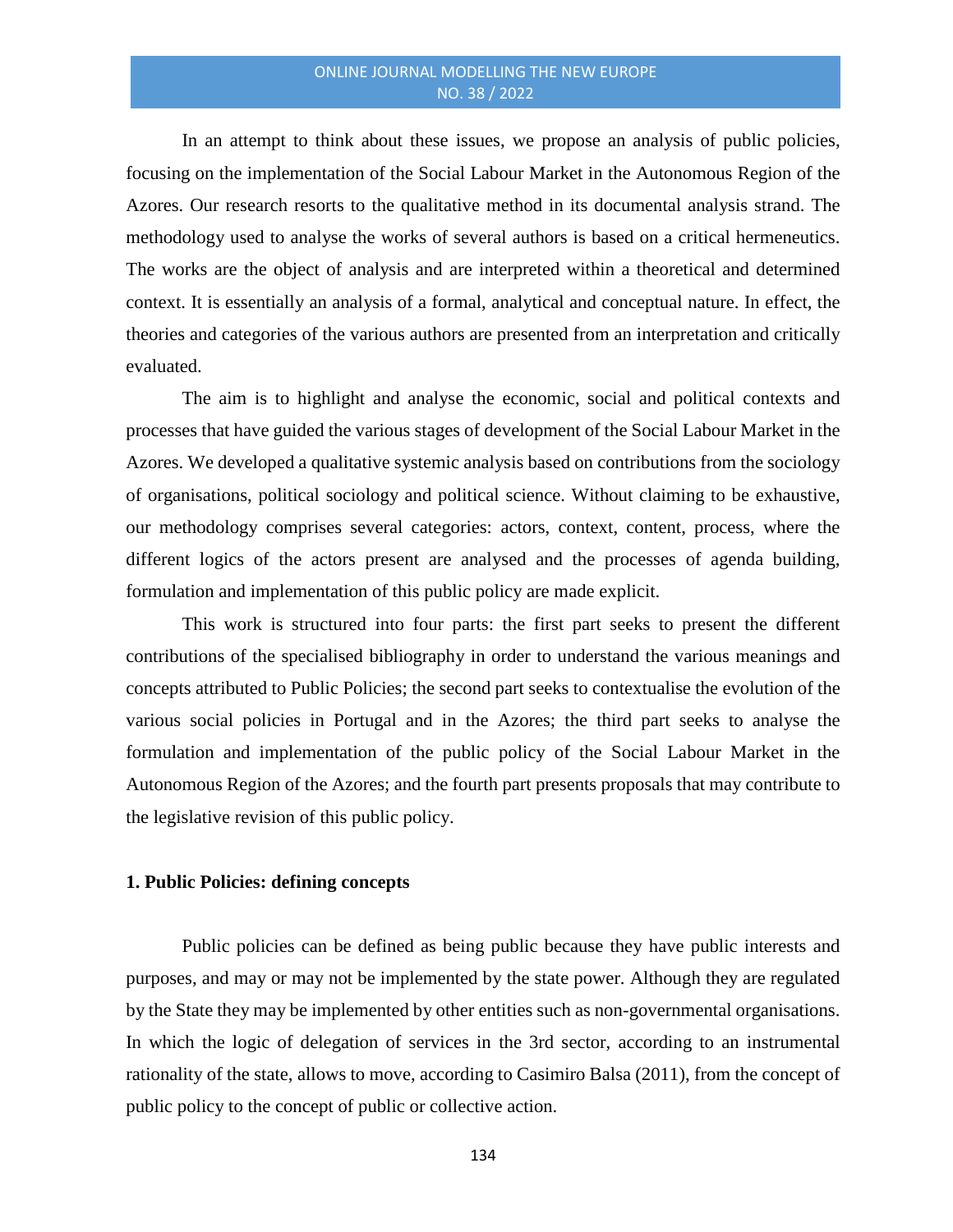In an attempt to think about these issues, we propose an analysis of public policies, focusing on the implementation of the Social Labour Market in the Autonomous Region of the Azores. Our research resorts to the qualitative method in its documental analysis strand. The methodology used to analyse the works of several authors is based on a critical hermeneutics. The works are the object of analysis and are interpreted within a theoretical and determined context. It is essentially an analysis of a formal, analytical and conceptual nature. In effect, the theories and categories of the various authors are presented from an interpretation and critically evaluated.

The aim is to highlight and analyse the economic, social and political contexts and processes that have guided the various stages of development of the Social Labour Market in the Azores. We developed a qualitative systemic analysis based on contributions from the sociology of organisations, political sociology and political science. Without claiming to be exhaustive, our methodology comprises several categories: actors, context, content, process, where the different logics of the actors present are analysed and the processes of agenda building, formulation and implementation of this public policy are made explicit.

This work is structured into four parts: the first part seeks to present the different contributions of the specialised bibliography in order to understand the various meanings and concepts attributed to Public Policies; the second part seeks to contextualise the evolution of the various social policies in Portugal and in the Azores; the third part seeks to analyse the formulation and implementation of the public policy of the Social Labour Market in the Autonomous Region of the Azores; and the fourth part presents proposals that may contribute to the legislative revision of this public policy.

# **1. Public Policies: defining concepts**

Public policies can be defined as being public because they have public interests and purposes, and may or may not be implemented by the state power. Although they are regulated by the State they may be implemented by other entities such as non-governmental organisations. In which the logic of delegation of services in the 3rd sector, according to an instrumental rationality of the state, allows to move, according to Casimiro Balsa (2011), from the concept of public policy to the concept of public or collective action.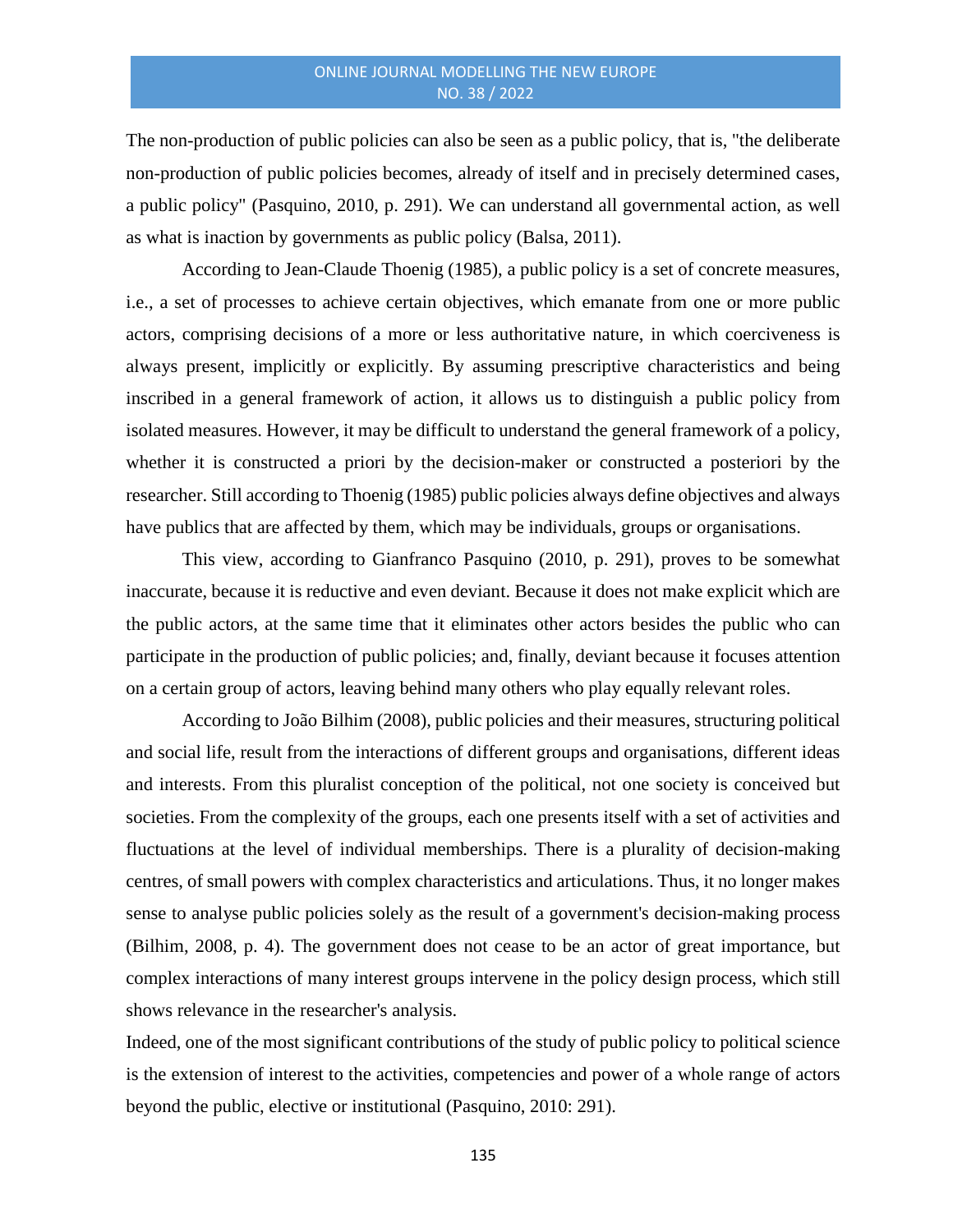The non-production of public policies can also be seen as a public policy, that is, "the deliberate non-production of public policies becomes, already of itself and in precisely determined cases, a public policy" (Pasquino, 2010, p. 291). We can understand all governmental action, as well as what is inaction by governments as public policy (Balsa, 2011).

According to Jean-Claude Thoenig (1985), a public policy is a set of concrete measures, i.e., a set of processes to achieve certain objectives, which emanate from one or more public actors, comprising decisions of a more or less authoritative nature, in which coerciveness is always present, implicitly or explicitly. By assuming prescriptive characteristics and being inscribed in a general framework of action, it allows us to distinguish a public policy from isolated measures. However, it may be difficult to understand the general framework of a policy, whether it is constructed a priori by the decision-maker or constructed a posteriori by the researcher. Still according to Thoenig (1985) public policies always define objectives and always have publics that are affected by them, which may be individuals, groups or organisations.

This view, according to Gianfranco Pasquino (2010, p. 291), proves to be somewhat inaccurate, because it is reductive and even deviant. Because it does not make explicit which are the public actors, at the same time that it eliminates other actors besides the public who can participate in the production of public policies; and, finally, deviant because it focuses attention on a certain group of actors, leaving behind many others who play equally relevant roles.

According to João Bilhim (2008), public policies and their measures, structuring political and social life, result from the interactions of different groups and organisations, different ideas and interests. From this pluralist conception of the political, not one society is conceived but societies. From the complexity of the groups, each one presents itself with a set of activities and fluctuations at the level of individual memberships. There is a plurality of decision-making centres, of small powers with complex characteristics and articulations. Thus, it no longer makes sense to analyse public policies solely as the result of a government's decision-making process (Bilhim, 2008, p. 4). The government does not cease to be an actor of great importance, but complex interactions of many interest groups intervene in the policy design process, which still shows relevance in the researcher's analysis.

Indeed, one of the most significant contributions of the study of public policy to political science is the extension of interest to the activities, competencies and power of a whole range of actors beyond the public, elective or institutional (Pasquino, 2010: 291).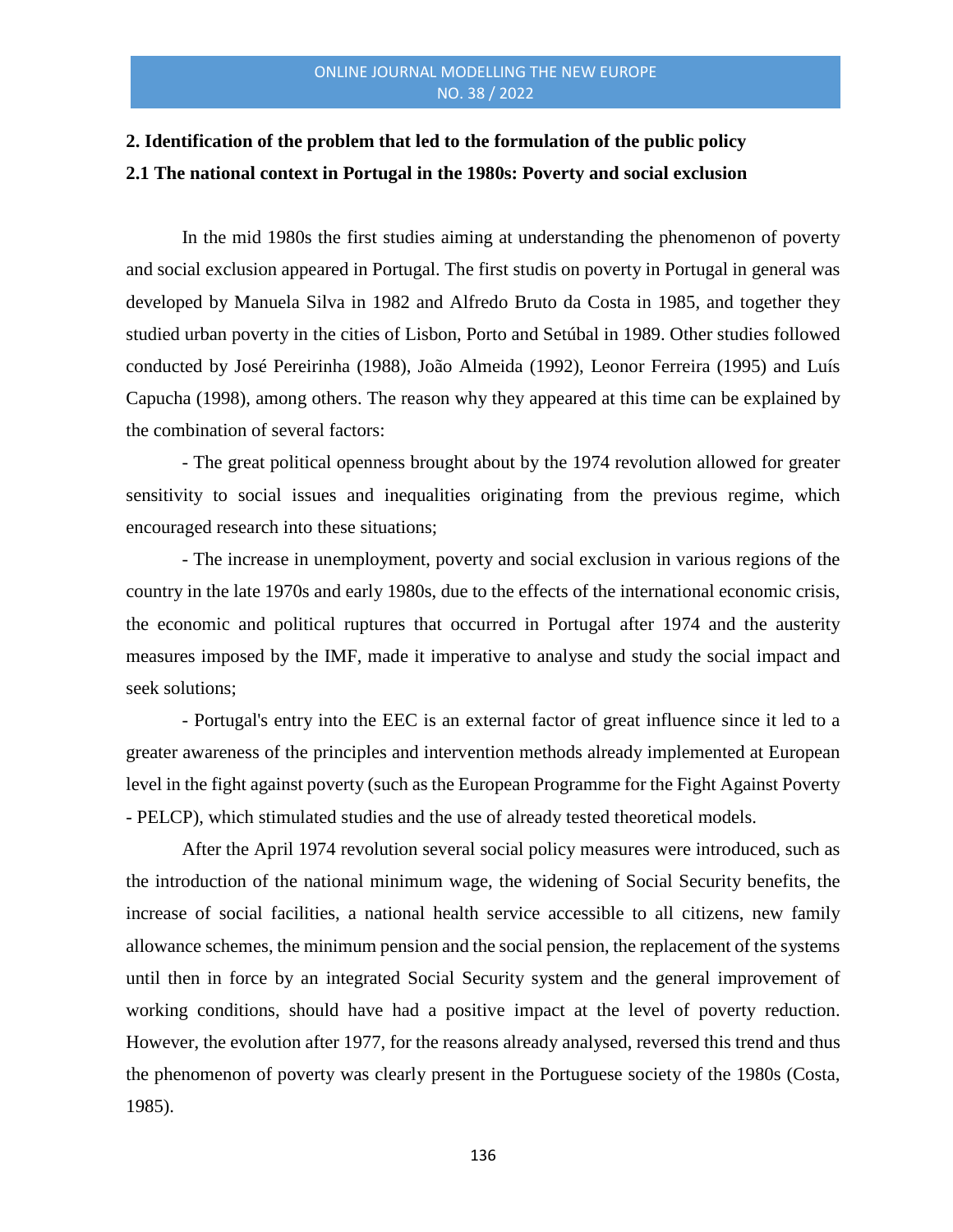# **2. Identification of the problem that led to the formulation of the public policy 2.1 The national context in Portugal in the 1980s: Poverty and social exclusion**

In the mid 1980s the first studies aiming at understanding the phenomenon of poverty and social exclusion appeared in Portugal. The first studis on poverty in Portugal in general was developed by Manuela Silva in 1982 and Alfredo Bruto da Costa in 1985, and together they studied urban poverty in the cities of Lisbon, Porto and Setúbal in 1989. Other studies followed conducted by José Pereirinha (1988), João Almeida (1992), Leonor Ferreira (1995) and Luís Capucha (1998), among others. The reason why they appeared at this time can be explained by the combination of several factors:

- The great political openness brought about by the 1974 revolution allowed for greater sensitivity to social issues and inequalities originating from the previous regime, which encouraged research into these situations;

- The increase in unemployment, poverty and social exclusion in various regions of the country in the late 1970s and early 1980s, due to the effects of the international economic crisis, the economic and political ruptures that occurred in Portugal after 1974 and the austerity measures imposed by the IMF, made it imperative to analyse and study the social impact and seek solutions;

- Portugal's entry into the EEC is an external factor of great influence since it led to a greater awareness of the principles and intervention methods already implemented at European level in the fight against poverty (such as the European Programme for the Fight Against Poverty - PELCP), which stimulated studies and the use of already tested theoretical models.

After the April 1974 revolution several social policy measures were introduced, such as the introduction of the national minimum wage, the widening of Social Security benefits, the increase of social facilities, a national health service accessible to all citizens, new family allowance schemes, the minimum pension and the social pension, the replacement of the systems until then in force by an integrated Social Security system and the general improvement of working conditions, should have had a positive impact at the level of poverty reduction. However, the evolution after 1977, for the reasons already analysed, reversed this trend and thus the phenomenon of poverty was clearly present in the Portuguese society of the 1980s (Costa, 1985).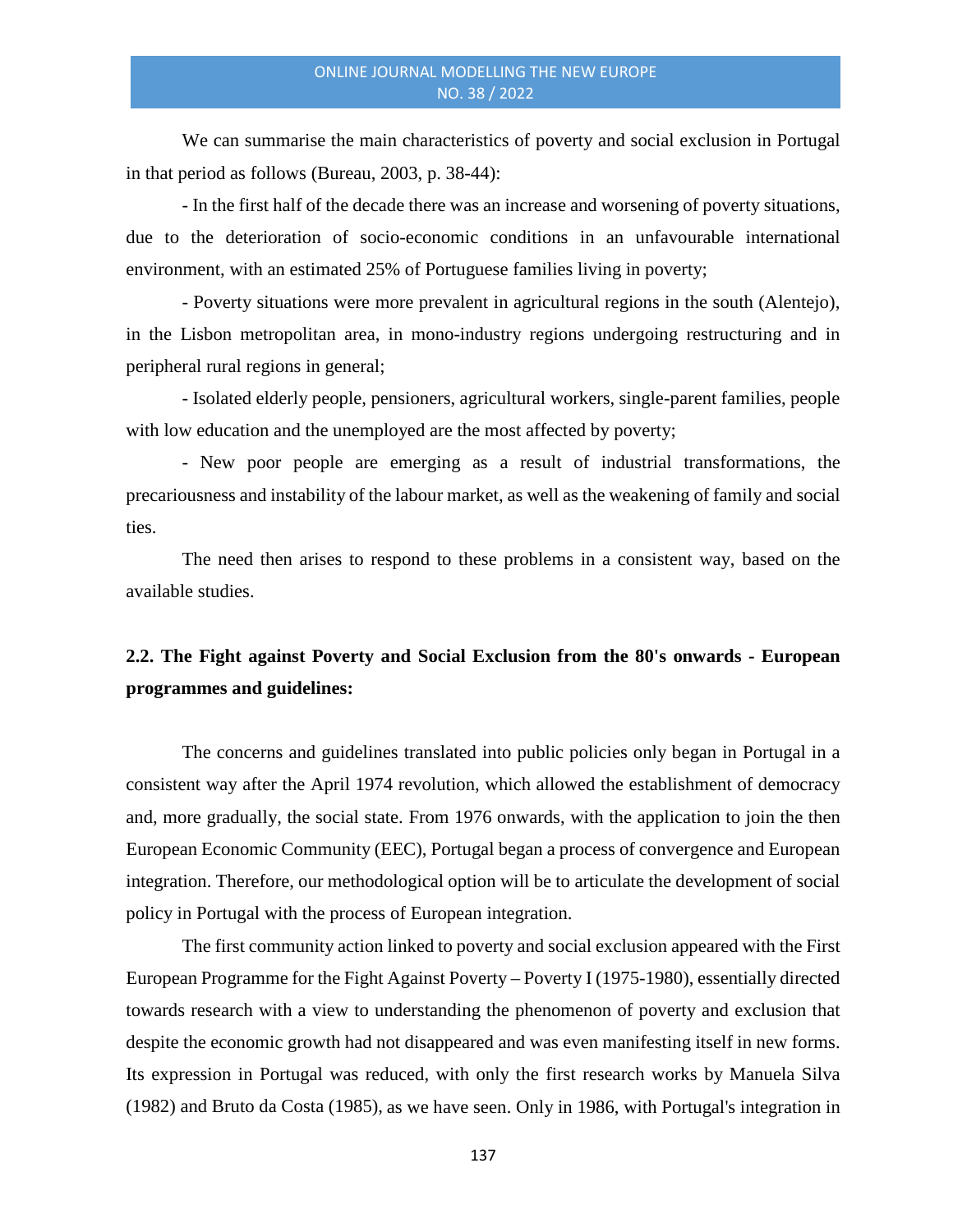We can summarise the main characteristics of poverty and social exclusion in Portugal in that period as follows (Bureau, 2003, p. 38-44):

- In the first half of the decade there was an increase and worsening of poverty situations, due to the deterioration of socio-economic conditions in an unfavourable international environment, with an estimated 25% of Portuguese families living in poverty;

- Poverty situations were more prevalent in agricultural regions in the south (Alentejo), in the Lisbon metropolitan area, in mono-industry regions undergoing restructuring and in peripheral rural regions in general;

- Isolated elderly people, pensioners, agricultural workers, single-parent families, people with low education and the unemployed are the most affected by poverty;

- New poor people are emerging as a result of industrial transformations, the precariousness and instability of the labour market, as well as the weakening of family and social ties.

The need then arises to respond to these problems in a consistent way, based on the available studies.

# **2.2. The Fight against Poverty and Social Exclusion from the 80's onwards - European programmes and guidelines:**

The concerns and guidelines translated into public policies only began in Portugal in a consistent way after the April 1974 revolution, which allowed the establishment of democracy and, more gradually, the social state. From 1976 onwards, with the application to join the then European Economic Community (EEC), Portugal began a process of convergence and European integration. Therefore, our methodological option will be to articulate the development of social policy in Portugal with the process of European integration.

The first community action linked to poverty and social exclusion appeared with the First European Programme for the Fight Against Poverty – Poverty I (1975-1980), essentially directed towards research with a view to understanding the phenomenon of poverty and exclusion that despite the economic growth had not disappeared and was even manifesting itself in new forms. Its expression in Portugal was reduced, with only the first research works by Manuela Silva (1982) and Bruto da Costa (1985), as we have seen. Only in 1986, with Portugal's integration in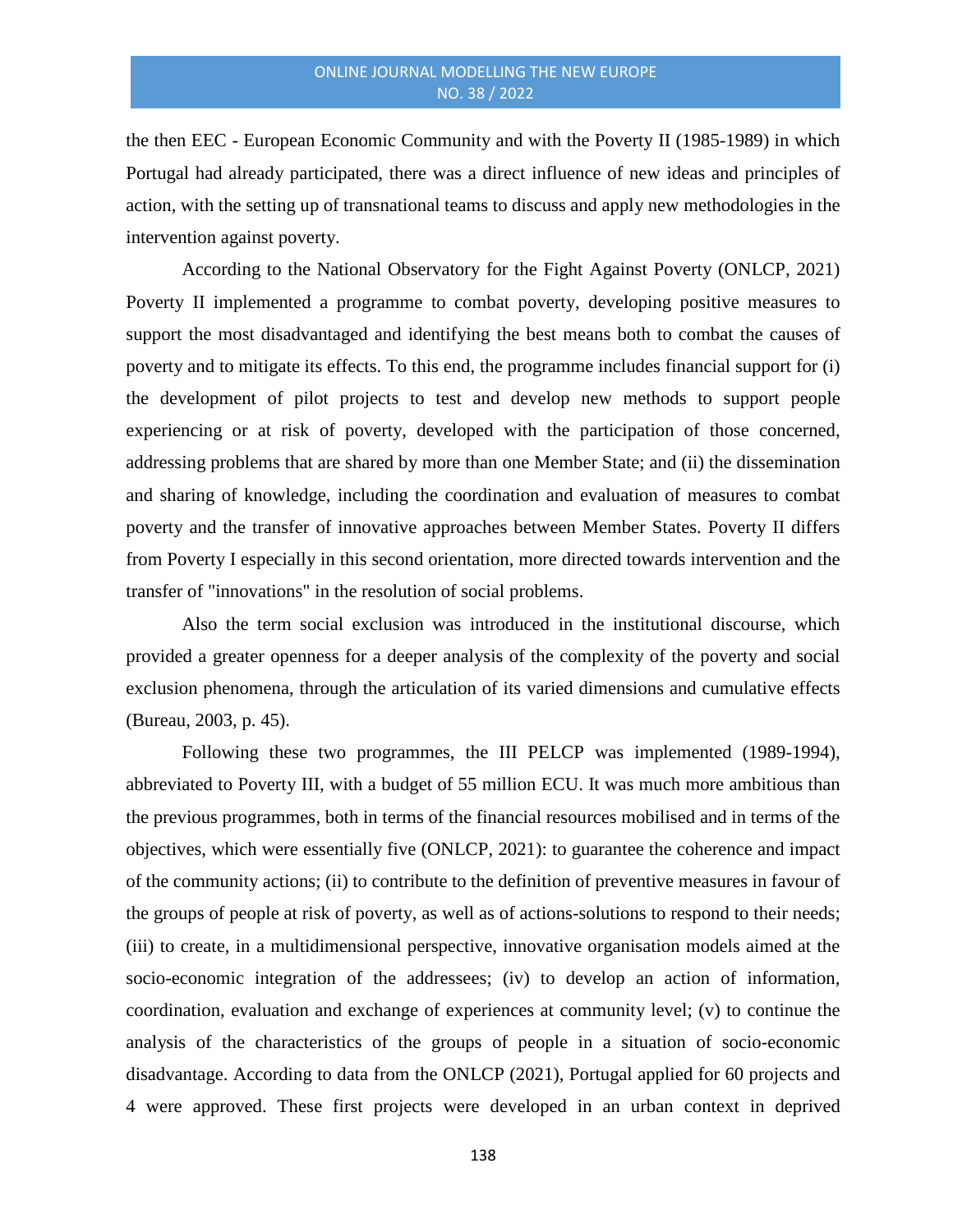the then EEC - European Economic Community and with the Poverty II (1985-1989) in which Portugal had already participated, there was a direct influence of new ideas and principles of action, with the setting up of transnational teams to discuss and apply new methodologies in the intervention against poverty.

According to the National Observatory for the Fight Against Poverty (ONLCP, 2021) Poverty II implemented a programme to combat poverty, developing positive measures to support the most disadvantaged and identifying the best means both to combat the causes of poverty and to mitigate its effects. To this end, the programme includes financial support for (i) the development of pilot projects to test and develop new methods to support people experiencing or at risk of poverty, developed with the participation of those concerned, addressing problems that are shared by more than one Member State; and (ii) the dissemination and sharing of knowledge, including the coordination and evaluation of measures to combat poverty and the transfer of innovative approaches between Member States. Poverty II differs from Poverty I especially in this second orientation, more directed towards intervention and the transfer of "innovations" in the resolution of social problems.

Also the term social exclusion was introduced in the institutional discourse, which provided a greater openness for a deeper analysis of the complexity of the poverty and social exclusion phenomena, through the articulation of its varied dimensions and cumulative effects (Bureau, 2003, p. 45).

Following these two programmes, the III PELCP was implemented (1989-1994), abbreviated to Poverty III, with a budget of 55 million ECU. It was much more ambitious than the previous programmes, both in terms of the financial resources mobilised and in terms of the objectives, which were essentially five (ONLCP, 2021): to guarantee the coherence and impact of the community actions; (ii) to contribute to the definition of preventive measures in favour of the groups of people at risk of poverty, as well as of actions-solutions to respond to their needs; (iii) to create, in a multidimensional perspective, innovative organisation models aimed at the socio-economic integration of the addressees; (iv) to develop an action of information, coordination, evaluation and exchange of experiences at community level; (v) to continue the analysis of the characteristics of the groups of people in a situation of socio-economic disadvantage. According to data from the ONLCP (2021), Portugal applied for 60 projects and 4 were approved. These first projects were developed in an urban context in deprived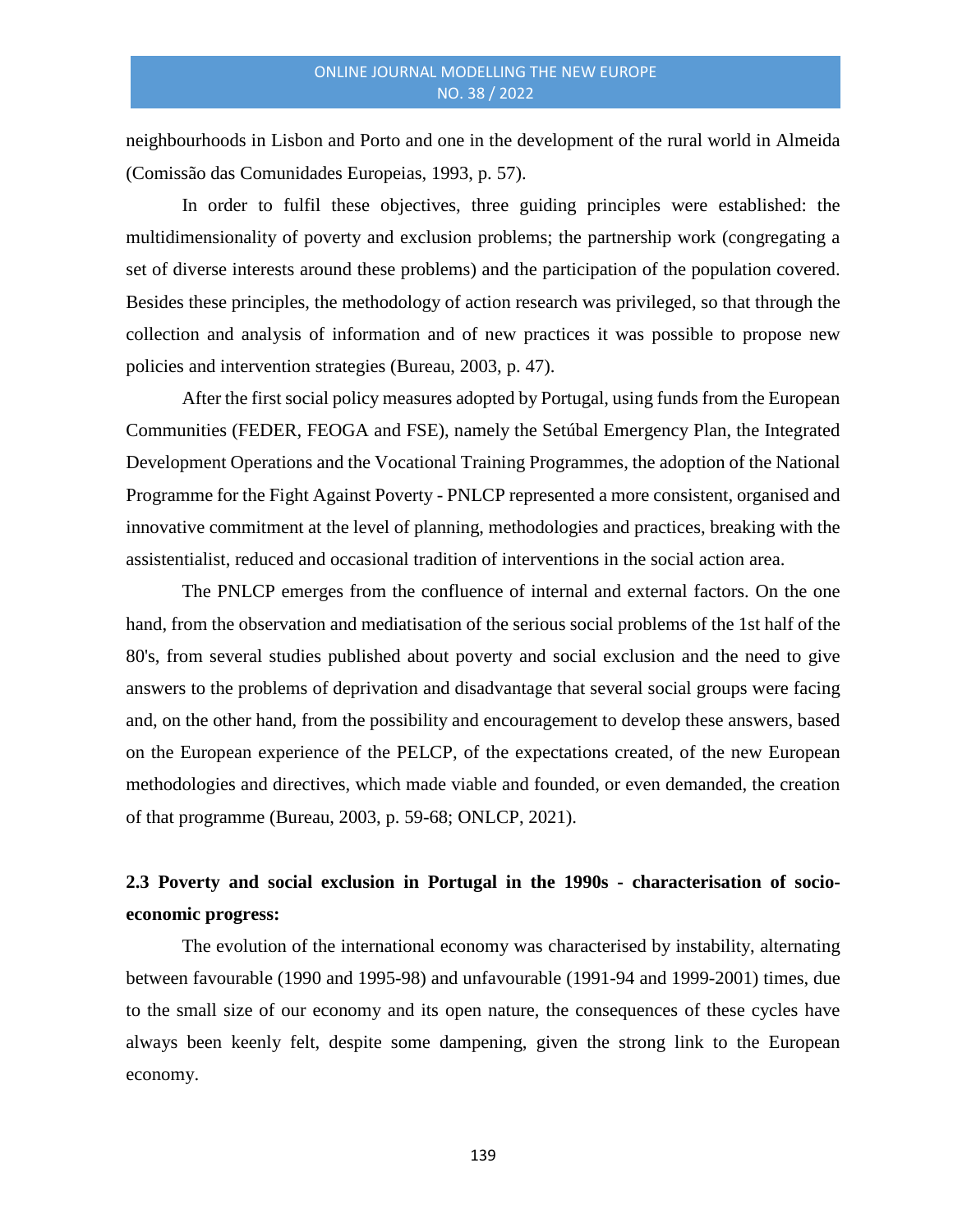neighbourhoods in Lisbon and Porto and one in the development of the rural world in Almeida (Comissão das Comunidades Europeias, 1993, p. 57).

In order to fulfil these objectives, three guiding principles were established: the multidimensionality of poverty and exclusion problems; the partnership work (congregating a set of diverse interests around these problems) and the participation of the population covered. Besides these principles, the methodology of action research was privileged, so that through the collection and analysis of information and of new practices it was possible to propose new policies and intervention strategies (Bureau, 2003, p. 47).

After the first social policy measures adopted by Portugal, using funds from the European Communities (FEDER, FEOGA and FSE), namely the Setúbal Emergency Plan, the Integrated Development Operations and the Vocational Training Programmes, the adoption of the National Programme for the Fight Against Poverty - PNLCP represented a more consistent, organised and innovative commitment at the level of planning, methodologies and practices, breaking with the assistentialist, reduced and occasional tradition of interventions in the social action area.

The PNLCP emerges from the confluence of internal and external factors. On the one hand, from the observation and mediatisation of the serious social problems of the 1st half of the 80's, from several studies published about poverty and social exclusion and the need to give answers to the problems of deprivation and disadvantage that several social groups were facing and, on the other hand, from the possibility and encouragement to develop these answers, based on the European experience of the PELCP, of the expectations created, of the new European methodologies and directives, which made viable and founded, or even demanded, the creation of that programme (Bureau, 2003, p. 59-68; ONLCP, 2021).

# **2.3 Poverty and social exclusion in Portugal in the 1990s - characterisation of socioeconomic progress:**

The evolution of the international economy was characterised by instability, alternating between favourable (1990 and 1995-98) and unfavourable (1991-94 and 1999-2001) times, due to the small size of our economy and its open nature, the consequences of these cycles have always been keenly felt, despite some dampening, given the strong link to the European economy.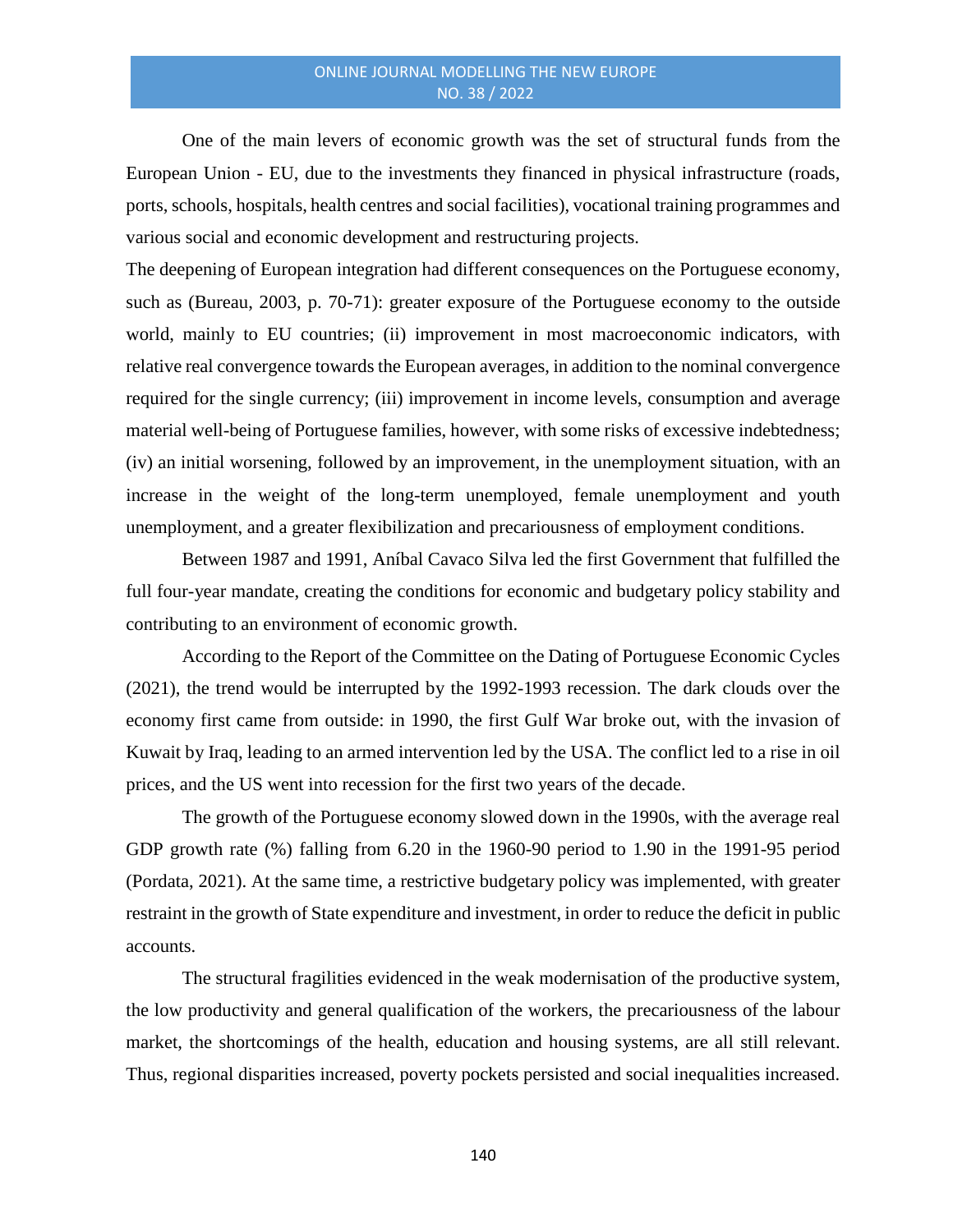One of the main levers of economic growth was the set of structural funds from the European Union - EU, due to the investments they financed in physical infrastructure (roads, ports, schools, hospitals, health centres and social facilities), vocational training programmes and various social and economic development and restructuring projects.

The deepening of European integration had different consequences on the Portuguese economy, such as (Bureau, 2003, p. 70-71): greater exposure of the Portuguese economy to the outside world, mainly to EU countries; (ii) improvement in most macroeconomic indicators, with relative real convergence towards the European averages, in addition to the nominal convergence required for the single currency; (iii) improvement in income levels, consumption and average material well-being of Portuguese families, however, with some risks of excessive indebtedness; (iv) an initial worsening, followed by an improvement, in the unemployment situation, with an increase in the weight of the long-term unemployed, female unemployment and youth unemployment, and a greater flexibilization and precariousness of employment conditions.

Between 1987 and 1991, Aníbal Cavaco Silva led the first Government that fulfilled the full four-year mandate, creating the conditions for economic and budgetary policy stability and contributing to an environment of economic growth.

According to the Report of the Committee on the Dating of Portuguese Economic Cycles (2021), the trend would be interrupted by the 1992-1993 recession. The dark clouds over the economy first came from outside: in 1990, the first Gulf War broke out, with the invasion of Kuwait by Iraq, leading to an armed intervention led by the USA. The conflict led to a rise in oil prices, and the US went into recession for the first two years of the decade.

The growth of the Portuguese economy slowed down in the 1990s, with the average real GDP growth rate (%) falling from 6.20 in the 1960-90 period to 1.90 in the 1991-95 period (Pordata, 2021). At the same time, a restrictive budgetary policy was implemented, with greater restraint in the growth of State expenditure and investment, in order to reduce the deficit in public accounts.

The structural fragilities evidenced in the weak modernisation of the productive system, the low productivity and general qualification of the workers, the precariousness of the labour market, the shortcomings of the health, education and housing systems, are all still relevant. Thus, regional disparities increased, poverty pockets persisted and social inequalities increased.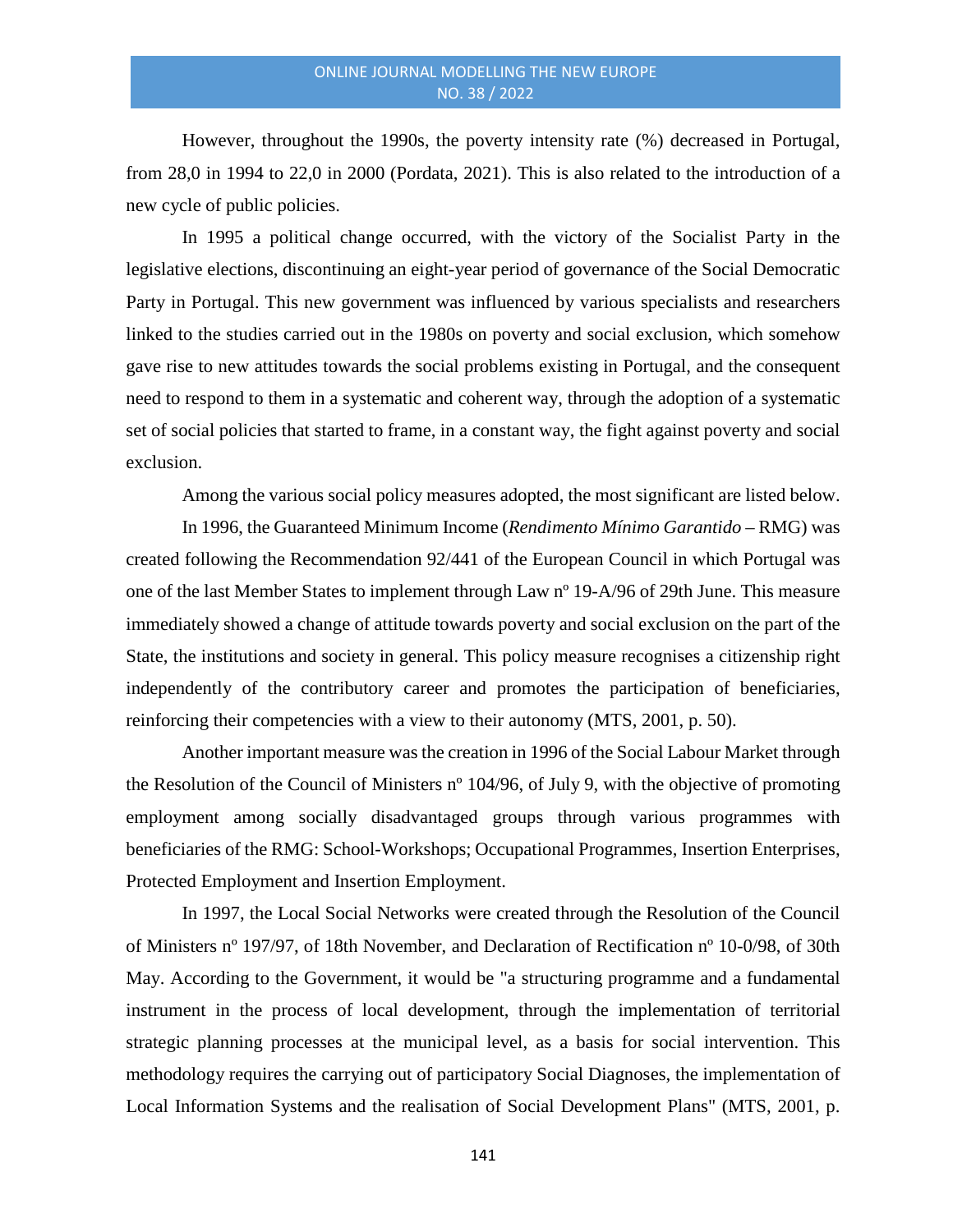However, throughout the 1990s, the poverty intensity rate (%) decreased in Portugal, from 28,0 in 1994 to 22,0 in 2000 (Pordata, 2021). This is also related to the introduction of a new cycle of public policies.

In 1995 a political change occurred, with the victory of the Socialist Party in the legislative elections, discontinuing an eight-year period of governance of the Social Democratic Party in Portugal. This new government was influenced by various specialists and researchers linked to the studies carried out in the 1980s on poverty and social exclusion, which somehow gave rise to new attitudes towards the social problems existing in Portugal, and the consequent need to respond to them in a systematic and coherent way, through the adoption of a systematic set of social policies that started to frame, in a constant way, the fight against poverty and social exclusion.

Among the various social policy measures adopted, the most significant are listed below.

In 1996, the Guaranteed Minimum Income (*Rendimento Mínimo Garantido* – RMG) was created following the Recommendation 92/441 of the European Council in which Portugal was one of the last Member States to implement through Law nº 19-A/96 of 29th June. This measure immediately showed a change of attitude towards poverty and social exclusion on the part of the State, the institutions and society in general. This policy measure recognises a citizenship right independently of the contributory career and promotes the participation of beneficiaries, reinforcing their competencies with a view to their autonomy (MTS, 2001, p. 50).

Another important measure was the creation in 1996 of the Social Labour Market through the Resolution of the Council of Ministers nº 104/96, of July 9, with the objective of promoting employment among socially disadvantaged groups through various programmes with beneficiaries of the RMG: School-Workshops; Occupational Programmes, Insertion Enterprises, Protected Employment and Insertion Employment.

In 1997, the Local Social Networks were created through the Resolution of the Council of Ministers nº 197/97, of 18th November, and Declaration of Rectification nº 10-0/98, of 30th May. According to the Government, it would be "a structuring programme and a fundamental instrument in the process of local development, through the implementation of territorial strategic planning processes at the municipal level, as a basis for social intervention. This methodology requires the carrying out of participatory Social Diagnoses, the implementation of Local Information Systems and the realisation of Social Development Plans" (MTS, 2001, p.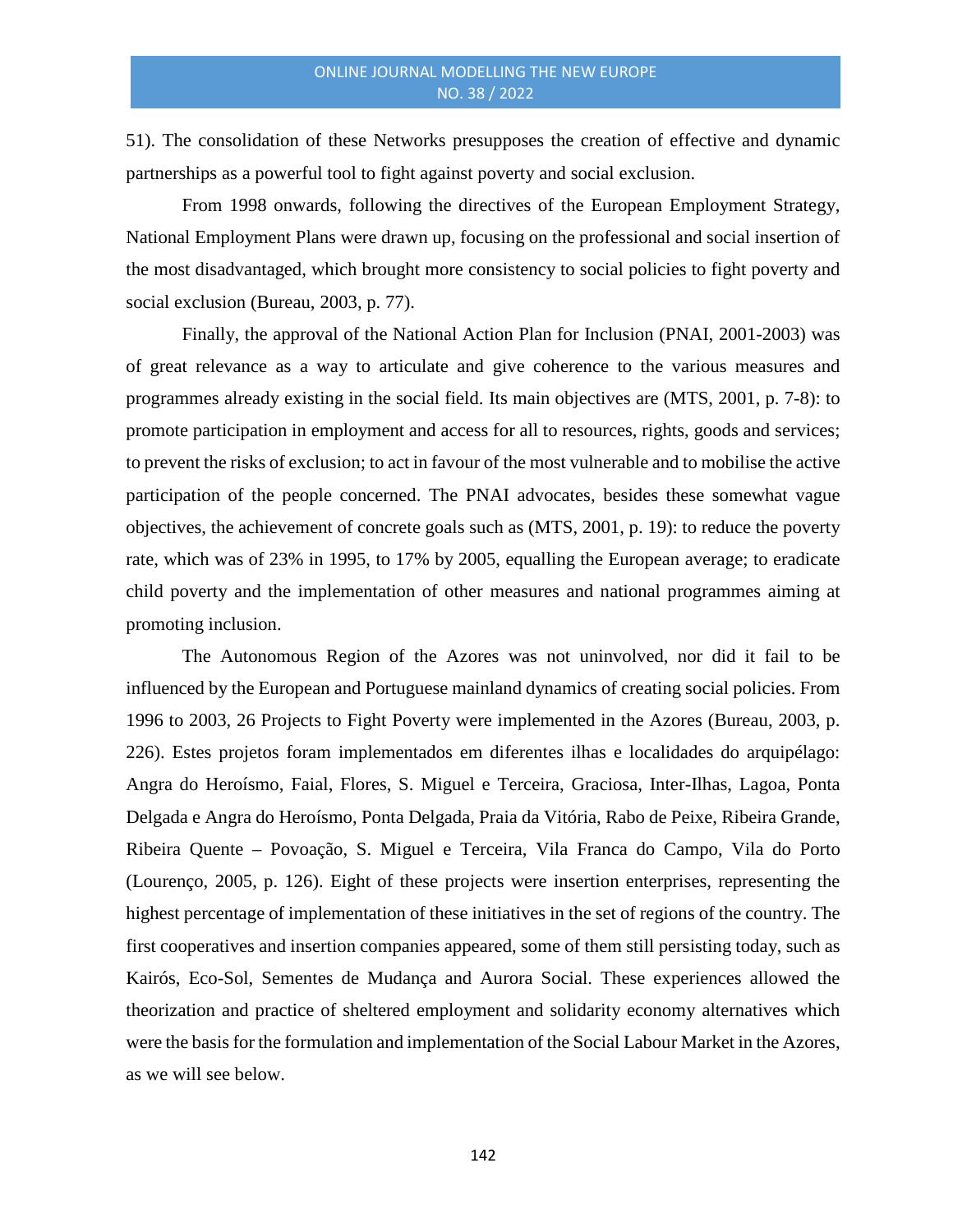51). The consolidation of these Networks presupposes the creation of effective and dynamic partnerships as a powerful tool to fight against poverty and social exclusion.

From 1998 onwards, following the directives of the European Employment Strategy, National Employment Plans were drawn up, focusing on the professional and social insertion of the most disadvantaged, which brought more consistency to social policies to fight poverty and social exclusion (Bureau, 2003, p. 77).

Finally, the approval of the National Action Plan for Inclusion (PNAI, 2001-2003) was of great relevance as a way to articulate and give coherence to the various measures and programmes already existing in the social field. Its main objectives are (MTS, 2001, p. 7-8): to promote participation in employment and access for all to resources, rights, goods and services; to prevent the risks of exclusion; to act in favour of the most vulnerable and to mobilise the active participation of the people concerned. The PNAI advocates, besides these somewhat vague objectives, the achievement of concrete goals such as (MTS, 2001, p. 19): to reduce the poverty rate, which was of 23% in 1995, to 17% by 2005, equalling the European average; to eradicate child poverty and the implementation of other measures and national programmes aiming at promoting inclusion.

The Autonomous Region of the Azores was not uninvolved, nor did it fail to be influenced by the European and Portuguese mainland dynamics of creating social policies. From 1996 to 2003, 26 Projects to Fight Poverty were implemented in the Azores (Bureau, 2003, p. 226). Estes projetos foram implementados em diferentes ilhas e localidades do arquipélago: Angra do Heroísmo, Faial, Flores, S. Miguel e Terceira, Graciosa, Inter-Ilhas, Lagoa, Ponta Delgada e Angra do Heroísmo, Ponta Delgada, Praia da Vitória, Rabo de Peixe, Ribeira Grande, Ribeira Quente – Povoação, S. Miguel e Terceira, Vila Franca do Campo, Vila do Porto (Lourenço, 2005, p. 126). Eight of these projects were insertion enterprises, representing the highest percentage of implementation of these initiatives in the set of regions of the country. The first cooperatives and insertion companies appeared, some of them still persisting today, such as Kairós, Eco-Sol, Sementes de Mudança and Aurora Social. These experiences allowed the theorization and practice of sheltered employment and solidarity economy alternatives which were the basis for the formulation and implementation of the Social Labour Market in the Azores, as we will see below.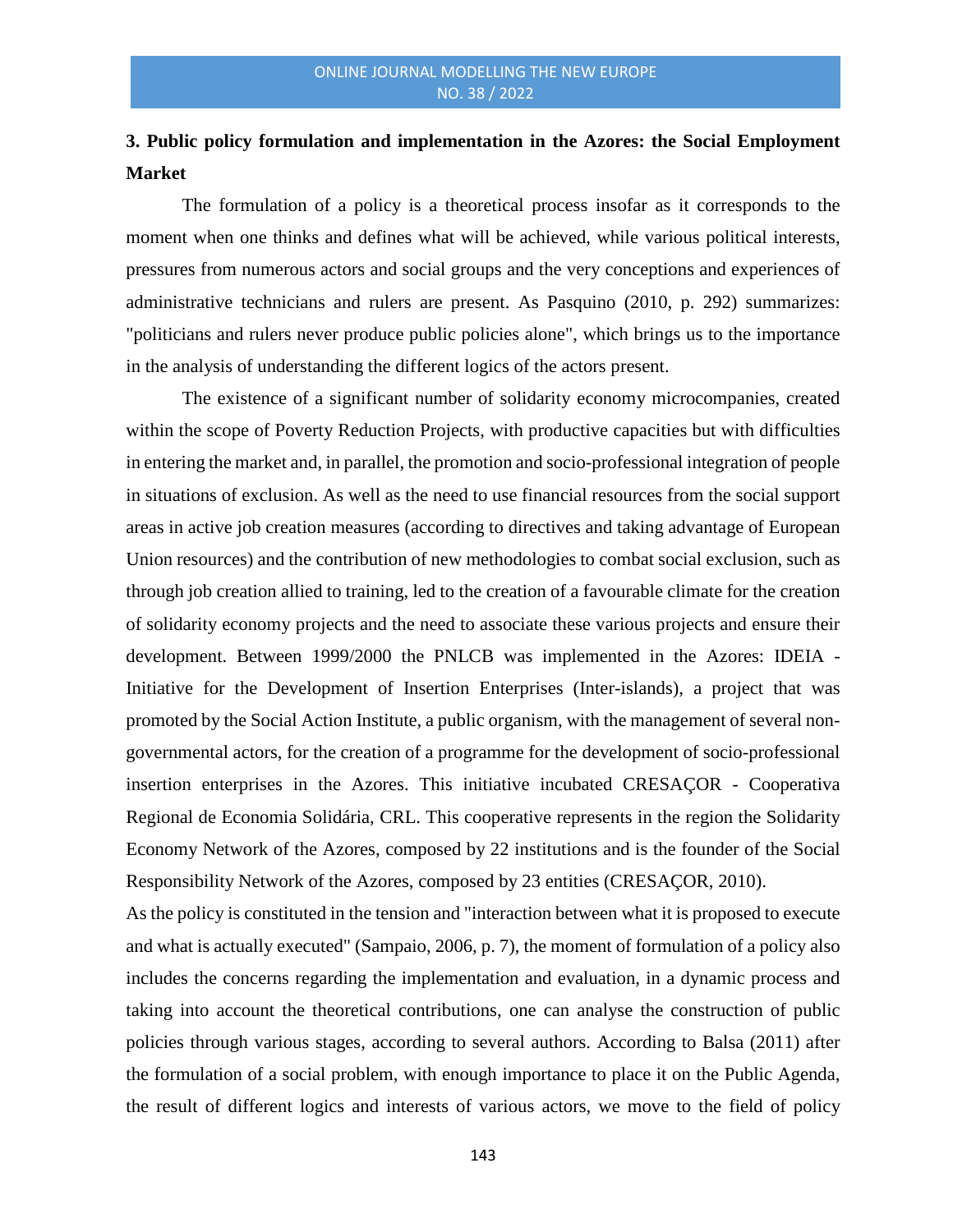# **3. Public policy formulation and implementation in the Azores: the Social Employment Market**

The formulation of a policy is a theoretical process insofar as it corresponds to the moment when one thinks and defines what will be achieved, while various political interests, pressures from numerous actors and social groups and the very conceptions and experiences of administrative technicians and rulers are present. As Pasquino (2010, p. 292) summarizes: "politicians and rulers never produce public policies alone", which brings us to the importance in the analysis of understanding the different logics of the actors present.

The existence of a significant number of solidarity economy microcompanies, created within the scope of Poverty Reduction Projects, with productive capacities but with difficulties in entering the market and, in parallel, the promotion and socio-professional integration of people in situations of exclusion. As well as the need to use financial resources from the social support areas in active job creation measures (according to directives and taking advantage of European Union resources) and the contribution of new methodologies to combat social exclusion, such as through job creation allied to training, led to the creation of a favourable climate for the creation of solidarity economy projects and the need to associate these various projects and ensure their development. Between 1999/2000 the PNLCB was implemented in the Azores: IDEIA - Initiative for the Development of Insertion Enterprises (Inter-islands), a project that was promoted by the Social Action Institute, a public organism, with the management of several nongovernmental actors, for the creation of a programme for the development of socio-professional insertion enterprises in the Azores. This initiative incubated CRESAÇOR - Cooperativa Regional de Economia Solidária, CRL. This cooperative represents in the region the Solidarity Economy Network of the Azores, composed by 22 institutions and is the founder of the Social Responsibility Network of the Azores, composed by 23 entities (CRESAÇOR, 2010).

As the policy is constituted in the tension and "interaction between what it is proposed to execute and what is actually executed" (Sampaio, 2006, p. 7), the moment of formulation of a policy also includes the concerns regarding the implementation and evaluation, in a dynamic process and taking into account the theoretical contributions, one can analyse the construction of public policies through various stages, according to several authors. According to Balsa (2011) after the formulation of a social problem, with enough importance to place it on the Public Agenda, the result of different logics and interests of various actors, we move to the field of policy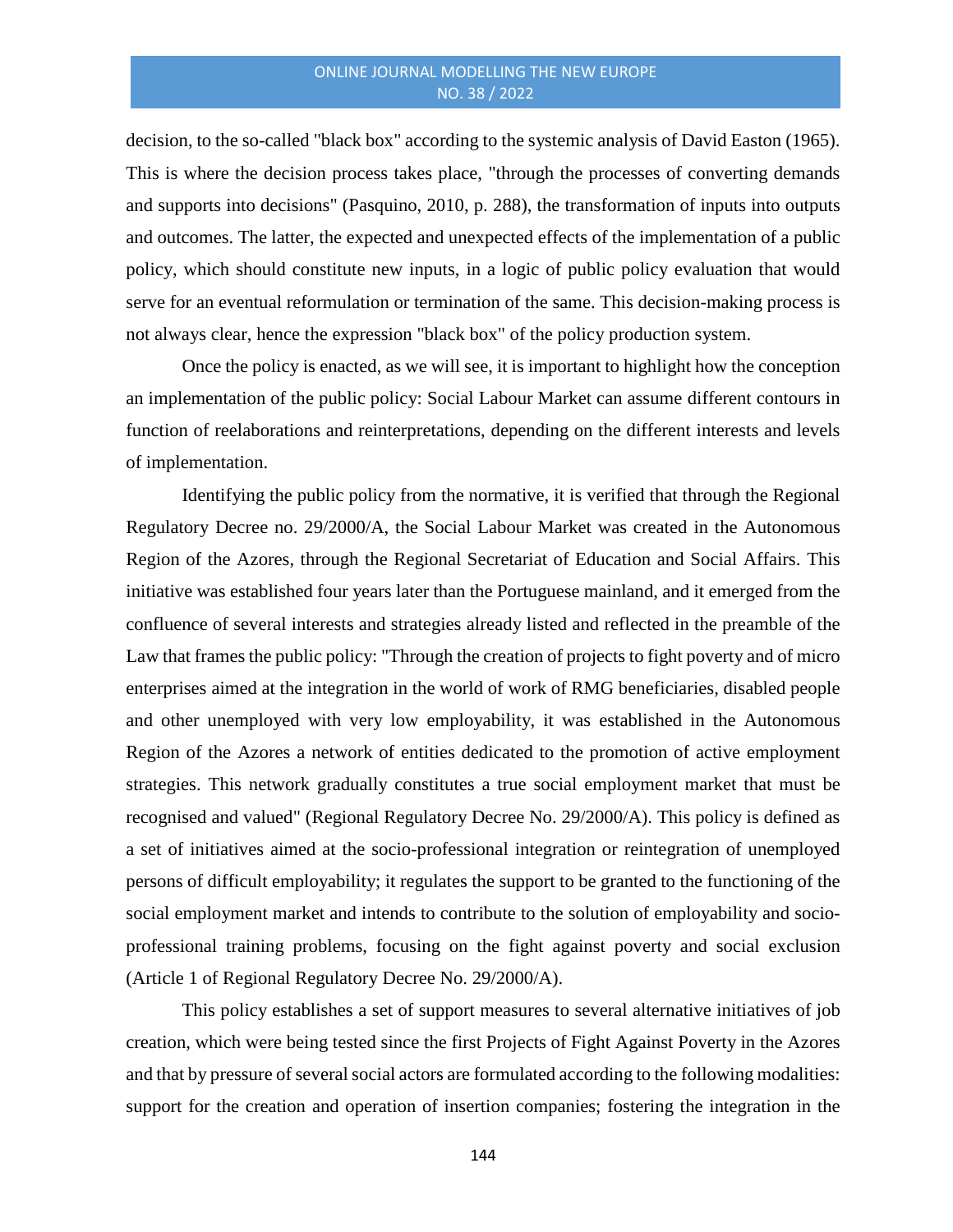decision, to the so-called "black box" according to the systemic analysis of David Easton (1965). This is where the decision process takes place, "through the processes of converting demands and supports into decisions" (Pasquino, 2010, p. 288), the transformation of inputs into outputs and outcomes. The latter, the expected and unexpected effects of the implementation of a public policy, which should constitute new inputs, in a logic of public policy evaluation that would serve for an eventual reformulation or termination of the same. This decision-making process is not always clear, hence the expression "black box" of the policy production system.

Once the policy is enacted, as we will see, it is important to highlight how the conception an implementation of the public policy: Social Labour Market can assume different contours in function of reelaborations and reinterpretations, depending on the different interests and levels of implementation.

Identifying the public policy from the normative, it is verified that through the Regional Regulatory Decree no. 29/2000/A, the Social Labour Market was created in the Autonomous Region of the Azores, through the Regional Secretariat of Education and Social Affairs. This initiative was established four years later than the Portuguese mainland, and it emerged from the confluence of several interests and strategies already listed and reflected in the preamble of the Law that frames the public policy: "Through the creation of projects to fight poverty and of micro enterprises aimed at the integration in the world of work of RMG beneficiaries, disabled people and other unemployed with very low employability, it was established in the Autonomous Region of the Azores a network of entities dedicated to the promotion of active employment strategies. This network gradually constitutes a true social employment market that must be recognised and valued" (Regional Regulatory Decree No. 29/2000/A). This policy is defined as a set of initiatives aimed at the socio-professional integration or reintegration of unemployed persons of difficult employability; it regulates the support to be granted to the functioning of the social employment market and intends to contribute to the solution of employability and socioprofessional training problems, focusing on the fight against poverty and social exclusion (Article 1 of Regional Regulatory Decree No. 29/2000/A).

This policy establishes a set of support measures to several alternative initiatives of job creation, which were being tested since the first Projects of Fight Against Poverty in the Azores and that by pressure of several social actors are formulated according to the following modalities: support for the creation and operation of insertion companies; fostering the integration in the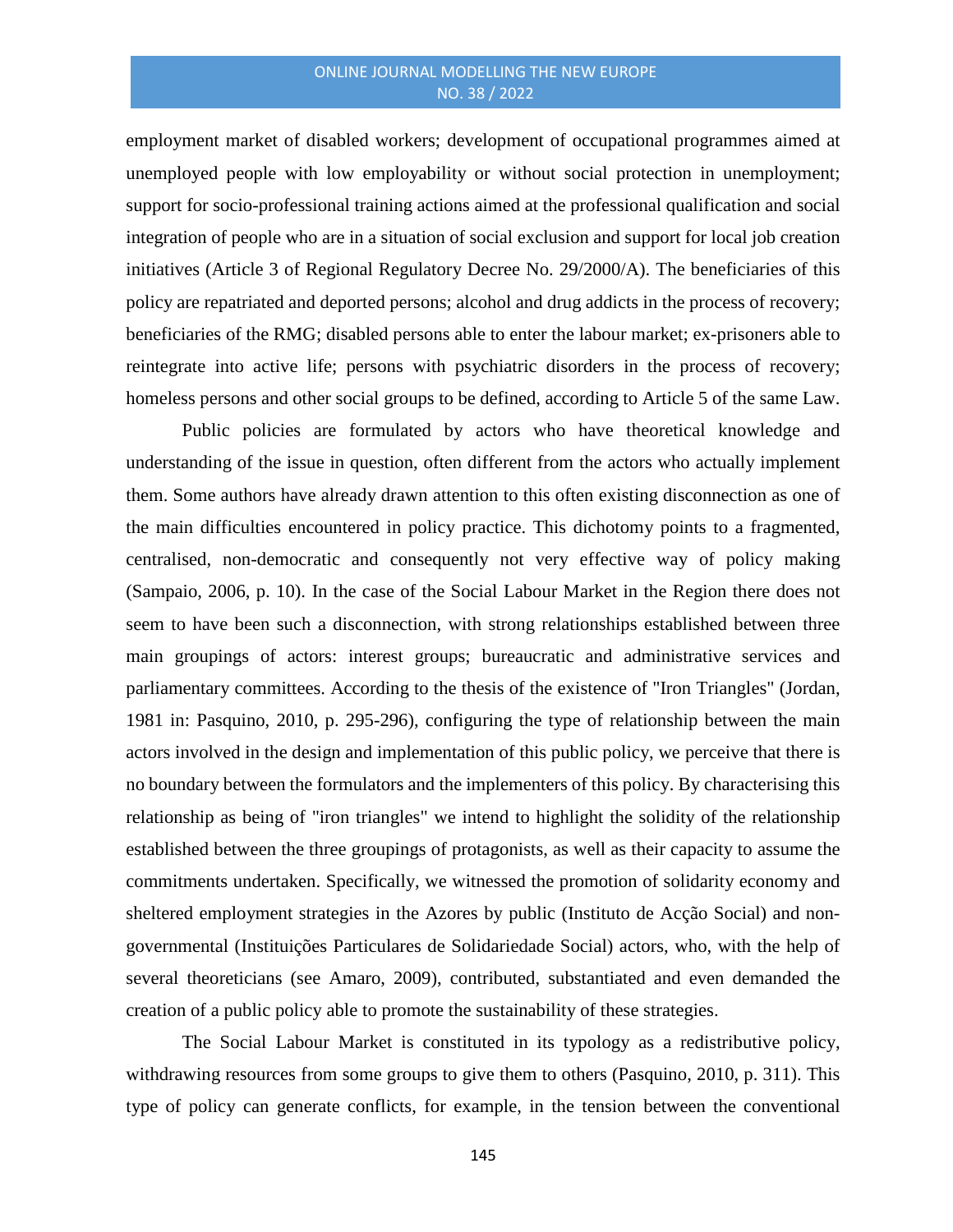employment market of disabled workers; development of occupational programmes aimed at unemployed people with low employability or without social protection in unemployment; support for socio-professional training actions aimed at the professional qualification and social integration of people who are in a situation of social exclusion and support for local job creation initiatives (Article 3 of Regional Regulatory Decree No. 29/2000/A). The beneficiaries of this policy are repatriated and deported persons; alcohol and drug addicts in the process of recovery; beneficiaries of the RMG; disabled persons able to enter the labour market; ex-prisoners able to reintegrate into active life; persons with psychiatric disorders in the process of recovery; homeless persons and other social groups to be defined, according to Article 5 of the same Law.

Public policies are formulated by actors who have theoretical knowledge and understanding of the issue in question, often different from the actors who actually implement them. Some authors have already drawn attention to this often existing disconnection as one of the main difficulties encountered in policy practice. This dichotomy points to a fragmented, centralised, non-democratic and consequently not very effective way of policy making (Sampaio, 2006, p. 10). In the case of the Social Labour Market in the Region there does not seem to have been such a disconnection, with strong relationships established between three main groupings of actors: interest groups; bureaucratic and administrative services and parliamentary committees. According to the thesis of the existence of "Iron Triangles" (Jordan, 1981 in: Pasquino, 2010, p. 295-296), configuring the type of relationship between the main actors involved in the design and implementation of this public policy, we perceive that there is no boundary between the formulators and the implementers of this policy. By characterising this relationship as being of "iron triangles" we intend to highlight the solidity of the relationship established between the three groupings of protagonists, as well as their capacity to assume the commitments undertaken. Specifically, we witnessed the promotion of solidarity economy and sheltered employment strategies in the Azores by public (Instituto de Acção Social) and nongovernmental (Instituições Particulares de Solidariedade Social) actors, who, with the help of several theoreticians (see Amaro, 2009), contributed, substantiated and even demanded the creation of a public policy able to promote the sustainability of these strategies.

The Social Labour Market is constituted in its typology as a redistributive policy, withdrawing resources from some groups to give them to others (Pasquino, 2010, p. 311). This type of policy can generate conflicts, for example, in the tension between the conventional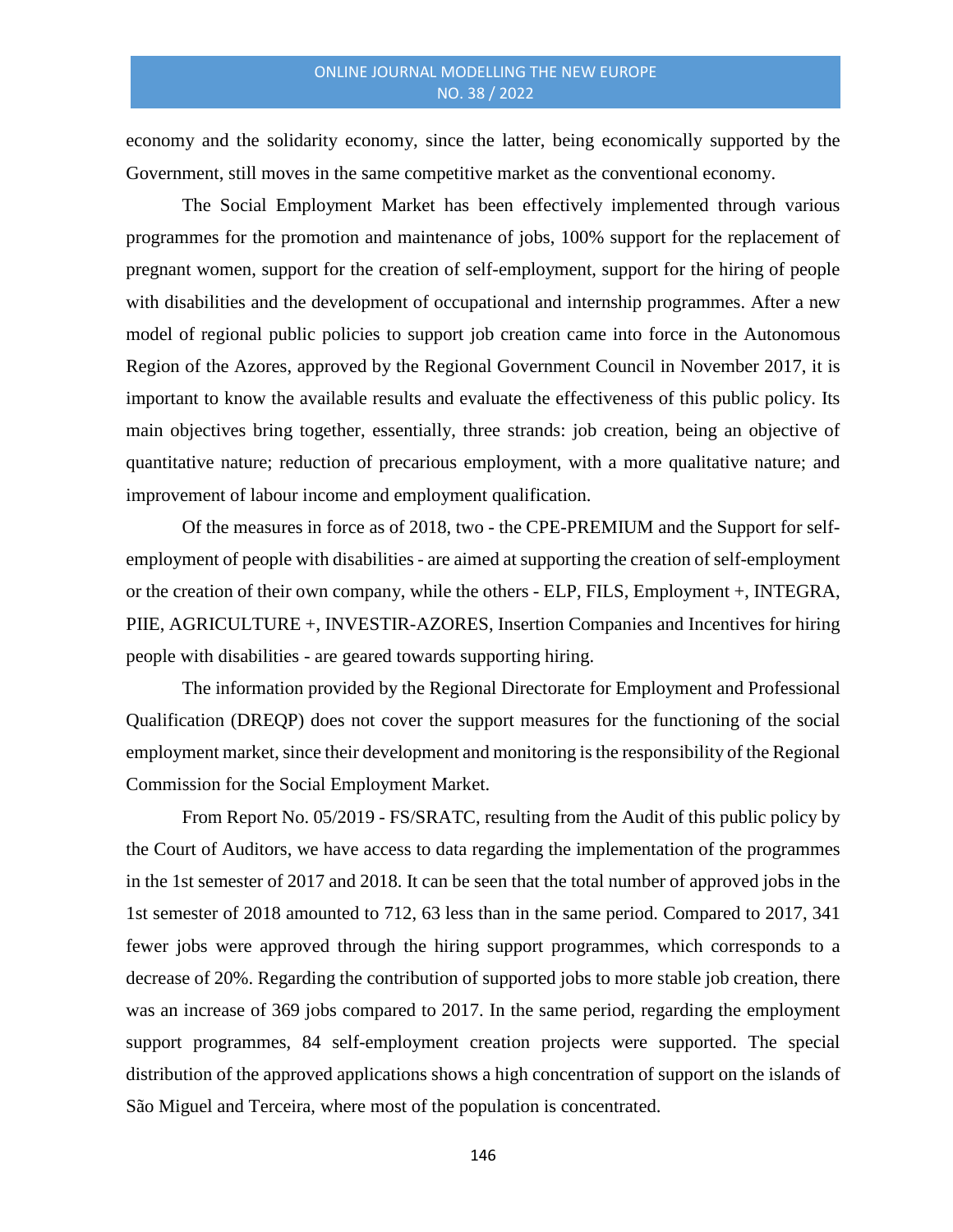economy and the solidarity economy, since the latter, being economically supported by the Government, still moves in the same competitive market as the conventional economy.

The Social Employment Market has been effectively implemented through various programmes for the promotion and maintenance of jobs, 100% support for the replacement of pregnant women, support for the creation of self-employment, support for the hiring of people with disabilities and the development of occupational and internship programmes. After a new model of regional public policies to support job creation came into force in the Autonomous Region of the Azores, approved by the Regional Government Council in November 2017, it is important to know the available results and evaluate the effectiveness of this public policy. Its main objectives bring together, essentially, three strands: job creation, being an objective of quantitative nature; reduction of precarious employment, with a more qualitative nature; and improvement of labour income and employment qualification.

Of the measures in force as of 2018, two - the CPE-PREMIUM and the Support for selfemployment of people with disabilities - are aimed at supporting the creation of self-employment or the creation of their own company, while the others - ELP, FILS, Employment +, INTEGRA, PIIE, AGRICULTURE +, INVESTIR-AZORES, Insertion Companies and Incentives for hiring people with disabilities - are geared towards supporting hiring.

The information provided by the Regional Directorate for Employment and Professional Qualification (DREQP) does not cover the support measures for the functioning of the social employment market, since their development and monitoring is the responsibility of the Regional Commission for the Social Employment Market.

From Report No. 05/2019 - FS/SRATC, resulting from the Audit of this public policy by the Court of Auditors, we have access to data regarding the implementation of the programmes in the 1st semester of 2017 and 2018. It can be seen that the total number of approved jobs in the 1st semester of 2018 amounted to 712, 63 less than in the same period. Compared to 2017, 341 fewer jobs were approved through the hiring support programmes, which corresponds to a decrease of 20%. Regarding the contribution of supported jobs to more stable job creation, there was an increase of 369 jobs compared to 2017. In the same period, regarding the employment support programmes, 84 self-employment creation projects were supported. The special distribution of the approved applications shows a high concentration of support on the islands of São Miguel and Terceira, where most of the population is concentrated.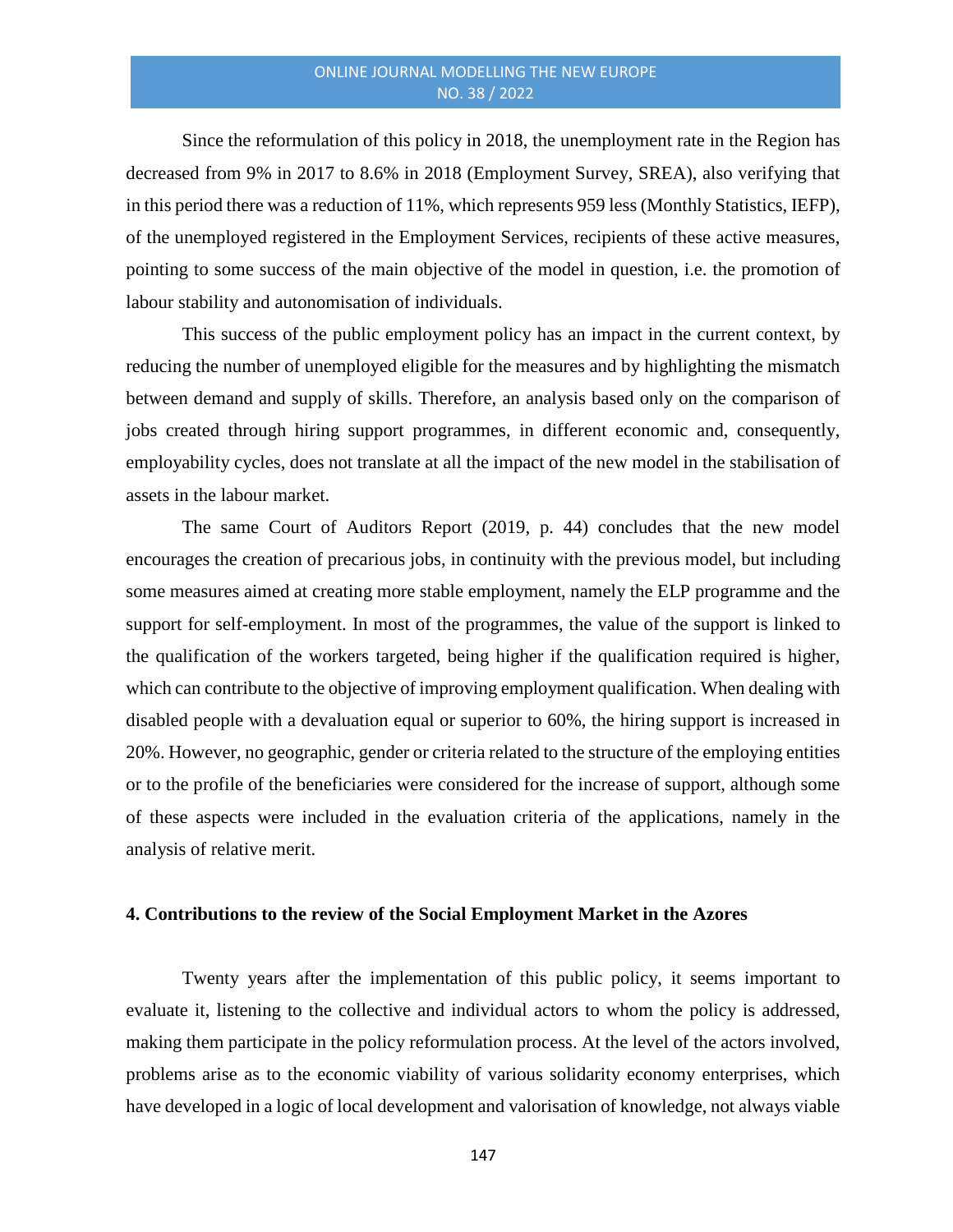Since the reformulation of this policy in 2018, the unemployment rate in the Region has decreased from 9% in 2017 to 8.6% in 2018 (Employment Survey, SREA), also verifying that in this period there was a reduction of 11%, which represents 959 less (Monthly Statistics, IEFP), of the unemployed registered in the Employment Services, recipients of these active measures, pointing to some success of the main objective of the model in question, i.e. the promotion of labour stability and autonomisation of individuals.

This success of the public employment policy has an impact in the current context, by reducing the number of unemployed eligible for the measures and by highlighting the mismatch between demand and supply of skills. Therefore, an analysis based only on the comparison of jobs created through hiring support programmes, in different economic and, consequently, employability cycles, does not translate at all the impact of the new model in the stabilisation of assets in the labour market.

The same Court of Auditors Report (2019, p. 44) concludes that the new model encourages the creation of precarious jobs, in continuity with the previous model, but including some measures aimed at creating more stable employment, namely the ELP programme and the support for self-employment. In most of the programmes, the value of the support is linked to the qualification of the workers targeted, being higher if the qualification required is higher, which can contribute to the objective of improving employment qualification. When dealing with disabled people with a devaluation equal or superior to 60%, the hiring support is increased in 20%. However, no geographic, gender or criteria related to the structure of the employing entities or to the profile of the beneficiaries were considered for the increase of support, although some of these aspects were included in the evaluation criteria of the applications, namely in the analysis of relative merit.

#### **4. Contributions to the review of the Social Employment Market in the Azores**

Twenty years after the implementation of this public policy, it seems important to evaluate it, listening to the collective and individual actors to whom the policy is addressed, making them participate in the policy reformulation process. At the level of the actors involved, problems arise as to the economic viability of various solidarity economy enterprises, which have developed in a logic of local development and valorisation of knowledge, not always viable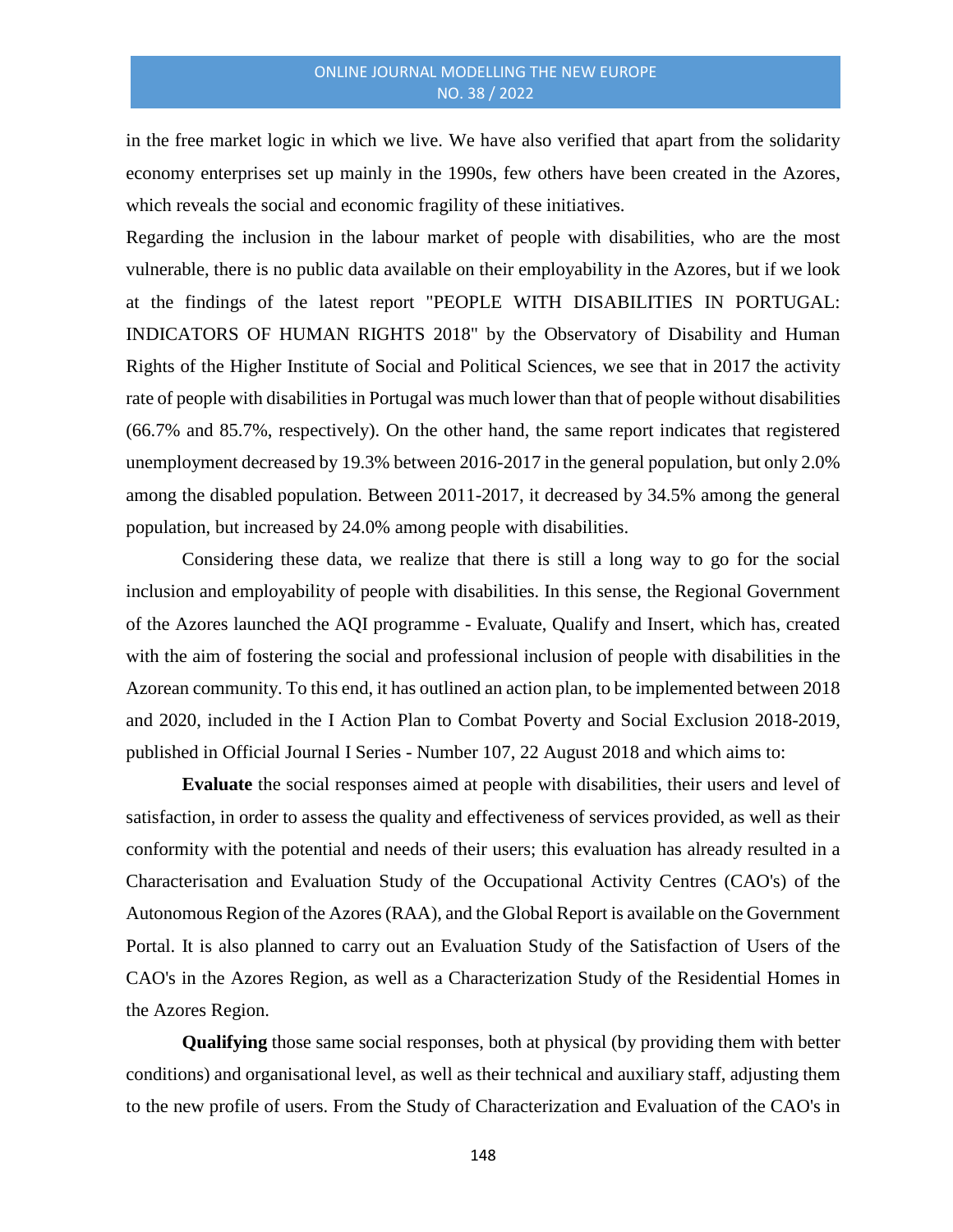in the free market logic in which we live. We have also verified that apart from the solidarity economy enterprises set up mainly in the 1990s, few others have been created in the Azores, which reveals the social and economic fragility of these initiatives.

Regarding the inclusion in the labour market of people with disabilities, who are the most vulnerable, there is no public data available on their employability in the Azores, but if we look at the findings of the latest report "PEOPLE WITH DISABILITIES IN PORTUGAL: INDICATORS OF HUMAN RIGHTS 2018" by the Observatory of Disability and Human Rights of the Higher Institute of Social and Political Sciences, we see that in 2017 the activity rate of people with disabilities in Portugal was much lower than that of people without disabilities (66.7% and 85.7%, respectively). On the other hand, the same report indicates that registered unemployment decreased by 19.3% between 2016-2017 in the general population, but only 2.0% among the disabled population. Between 2011-2017, it decreased by 34.5% among the general population, but increased by 24.0% among people with disabilities.

Considering these data, we realize that there is still a long way to go for the social inclusion and employability of people with disabilities. In this sense, the Regional Government of the Azores launched the AQI programme - Evaluate, Qualify and Insert, which has, created with the aim of fostering the social and professional inclusion of people with disabilities in the Azorean community. To this end, it has outlined an action plan, to be implemented between 2018 and 2020, included in the I Action Plan to Combat Poverty and Social Exclusion 2018-2019, published in Official Journal I Series - Number 107, 22 August 2018 and which aims to:

**Evaluate** the social responses aimed at people with disabilities, their users and level of satisfaction, in order to assess the quality and effectiveness of services provided, as well as their conformity with the potential and needs of their users; this evaluation has already resulted in a Characterisation and Evaluation Study of the Occupational Activity Centres (CAO's) of the Autonomous Region of the Azores (RAA), and the Global Report is available on the Government Portal. It is also planned to carry out an Evaluation Study of the Satisfaction of Users of the CAO's in the Azores Region, as well as a Characterization Study of the Residential Homes in the Azores Region.

**Qualifying** those same social responses, both at physical (by providing them with better conditions) and organisational level, as well as their technical and auxiliary staff, adjusting them to the new profile of users. From the Study of Characterization and Evaluation of the CAO's in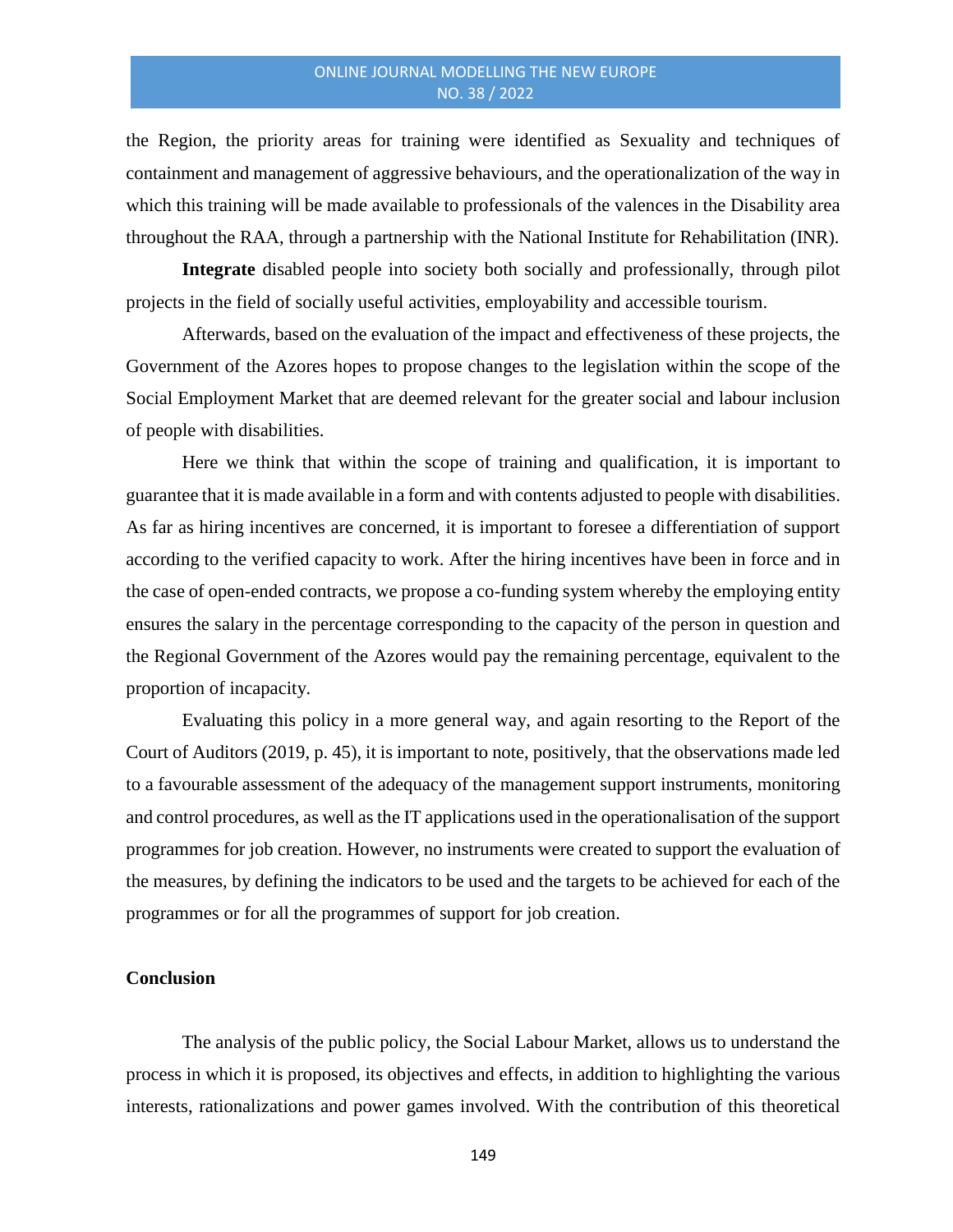the Region, the priority areas for training were identified as Sexuality and techniques of containment and management of aggressive behaviours, and the operationalization of the way in which this training will be made available to professionals of the valences in the Disability area throughout the RAA, through a partnership with the National Institute for Rehabilitation (INR).

**Integrate** disabled people into society both socially and professionally, through pilot projects in the field of socially useful activities, employability and accessible tourism.

Afterwards, based on the evaluation of the impact and effectiveness of these projects, the Government of the Azores hopes to propose changes to the legislation within the scope of the Social Employment Market that are deemed relevant for the greater social and labour inclusion of people with disabilities.

Here we think that within the scope of training and qualification, it is important to guarantee that it is made available in a form and with contents adjusted to people with disabilities. As far as hiring incentives are concerned, it is important to foresee a differentiation of support according to the verified capacity to work. After the hiring incentives have been in force and in the case of open-ended contracts, we propose a co-funding system whereby the employing entity ensures the salary in the percentage corresponding to the capacity of the person in question and the Regional Government of the Azores would pay the remaining percentage, equivalent to the proportion of incapacity.

Evaluating this policy in a more general way, and again resorting to the Report of the Court of Auditors (2019, p. 45), it is important to note, positively, that the observations made led to a favourable assessment of the adequacy of the management support instruments, monitoring and control procedures, as well as the IT applications used in the operationalisation of the support programmes for job creation. However, no instruments were created to support the evaluation of the measures, by defining the indicators to be used and the targets to be achieved for each of the programmes or for all the programmes of support for job creation.

# **Conclusion**

The analysis of the public policy, the Social Labour Market, allows us to understand the process in which it is proposed, its objectives and effects, in addition to highlighting the various interests, rationalizations and power games involved. With the contribution of this theoretical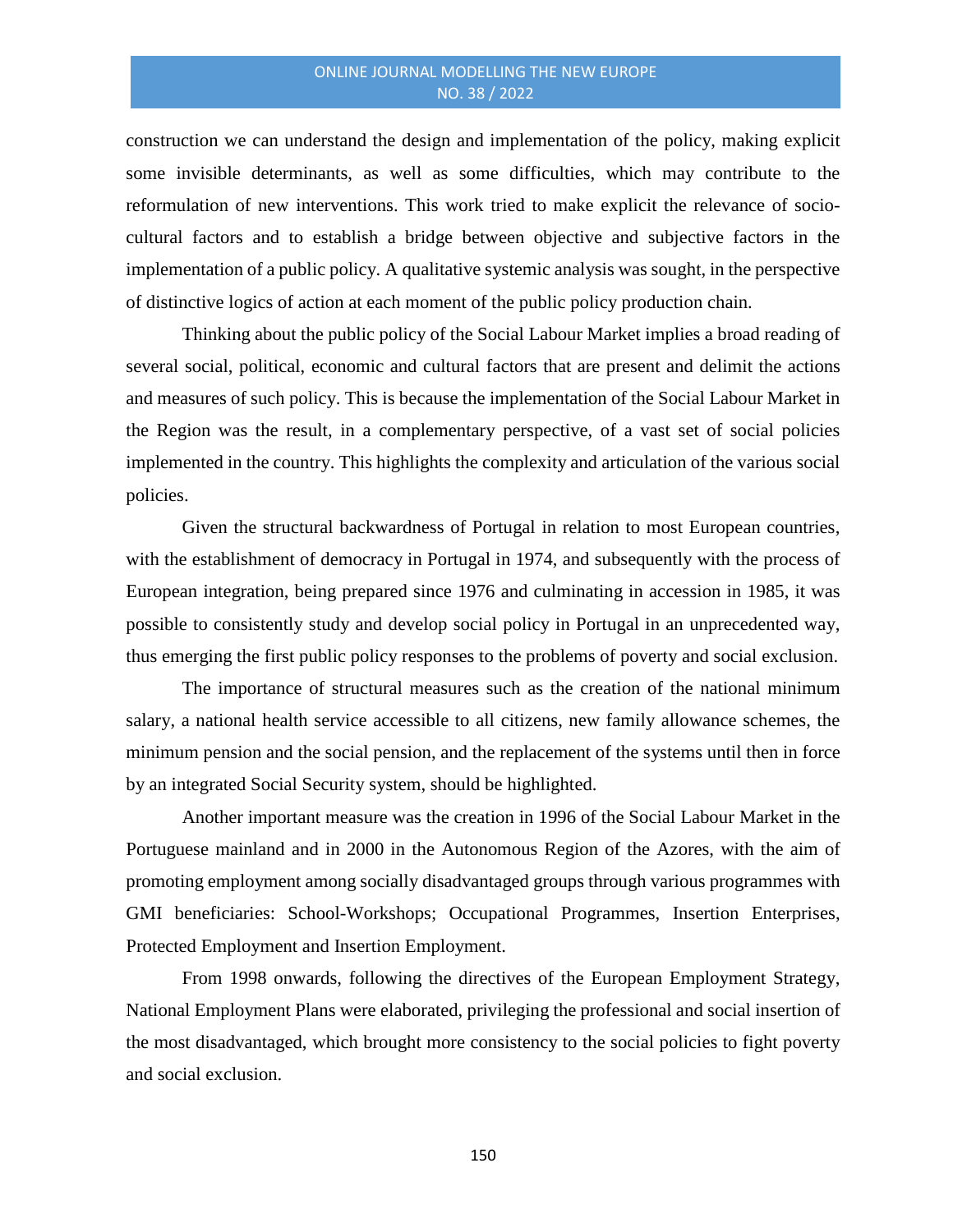construction we can understand the design and implementation of the policy, making explicit some invisible determinants, as well as some difficulties, which may contribute to the reformulation of new interventions. This work tried to make explicit the relevance of sociocultural factors and to establish a bridge between objective and subjective factors in the implementation of a public policy. A qualitative systemic analysis was sought, in the perspective of distinctive logics of action at each moment of the public policy production chain.

Thinking about the public policy of the Social Labour Market implies a broad reading of several social, political, economic and cultural factors that are present and delimit the actions and measures of such policy. This is because the implementation of the Social Labour Market in the Region was the result, in a complementary perspective, of a vast set of social policies implemented in the country. This highlights the complexity and articulation of the various social policies.

Given the structural backwardness of Portugal in relation to most European countries, with the establishment of democracy in Portugal in 1974, and subsequently with the process of European integration, being prepared since 1976 and culminating in accession in 1985, it was possible to consistently study and develop social policy in Portugal in an unprecedented way, thus emerging the first public policy responses to the problems of poverty and social exclusion.

The importance of structural measures such as the creation of the national minimum salary, a national health service accessible to all citizens, new family allowance schemes, the minimum pension and the social pension, and the replacement of the systems until then in force by an integrated Social Security system, should be highlighted.

Another important measure was the creation in 1996 of the Social Labour Market in the Portuguese mainland and in 2000 in the Autonomous Region of the Azores, with the aim of promoting employment among socially disadvantaged groups through various programmes with GMI beneficiaries: School-Workshops; Occupational Programmes, Insertion Enterprises, Protected Employment and Insertion Employment.

From 1998 onwards, following the directives of the European Employment Strategy, National Employment Plans were elaborated, privileging the professional and social insertion of the most disadvantaged, which brought more consistency to the social policies to fight poverty and social exclusion.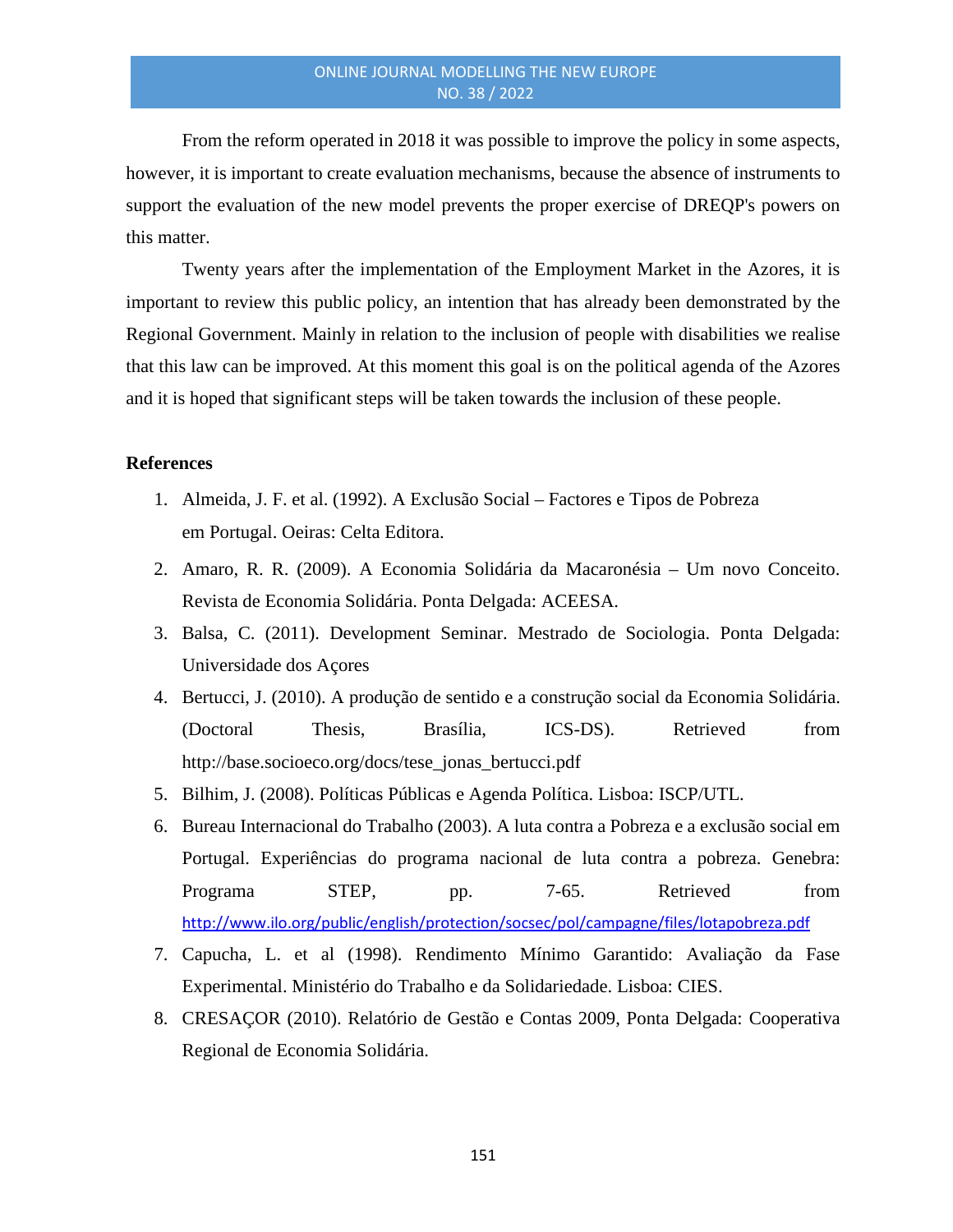From the reform operated in 2018 it was possible to improve the policy in some aspects, however, it is important to create evaluation mechanisms, because the absence of instruments to support the evaluation of the new model prevents the proper exercise of DREQP's powers on this matter.

Twenty years after the implementation of the Employment Market in the Azores, it is important to review this public policy, an intention that has already been demonstrated by the Regional Government. Mainly in relation to the inclusion of people with disabilities we realise that this law can be improved. At this moment this goal is on the political agenda of the Azores and it is hoped that significant steps will be taken towards the inclusion of these people.

### **References**

- 1. Almeida, J. F. et al. (1992). A Exclusão Social Factores e Tipos de Pobreza em Portugal. Oeiras: Celta Editora.
- 2. Amaro, R. R. (2009). A Economia Solidária da Macaronésia Um novo Conceito. Revista de Economia Solidária. Ponta Delgada: ACEESA.
- 3. Balsa, C. (2011). Development Seminar. Mestrado de Sociologia. Ponta Delgada: Universidade dos Açores
- 4. Bertucci, J. (2010). A produção de sentido e a construção social da Economia Solidária. (Doctoral Thesis, Brasília, ICS-DS). Retrieved from http://base.socioeco.org/docs/tese\_jonas\_bertucci.pdf
- 5. Bilhim, J. (2008). Políticas Públicas e Agenda Política. Lisboa: ISCP/UTL.
- 6. Bureau Internacional do Trabalho (2003). A luta contra a Pobreza e a exclusão social em Portugal. Experiências do programa nacional de luta contra a pobreza. Genebra: Programa STEP, pp. 7-65. Retrieved from <http://www.ilo.org/public/english/protection/socsec/pol/campagne/files/lotapobreza.pdf>
- 7. Capucha, L. et al (1998). Rendimento Mínimo Garantido: Avaliação da Fase Experimental. Ministério do Trabalho e da Solidariedade. Lisboa: CIES.
- 8. CRESAÇOR (2010). Relatório de Gestão e Contas 2009, Ponta Delgada: Cooperativa Regional de Economia Solidária.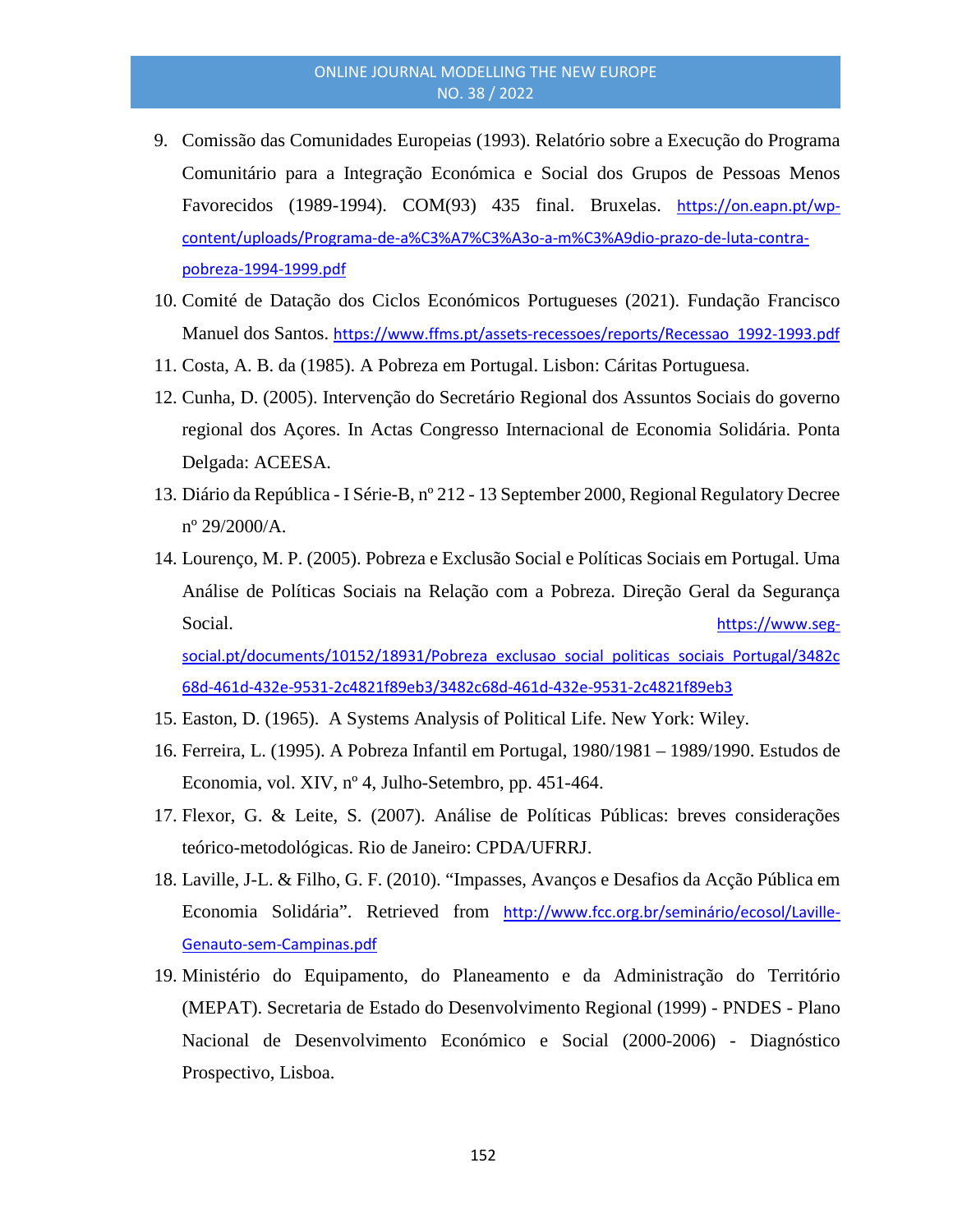- 9. Comissão das Comunidades Europeias (1993). Relatório sobre a Execução do Programa Comunitário para a Integração Económica e Social dos Grupos de Pessoas Menos Favorecidos (1989-1994). COM(93) 435 final. Bruxelas. [https://on.eapn.pt/wp](https://on.eapn.pt/wp-content/uploads/Programa-de-a%C3%A7%C3%A3o-a-m%C3%A9dio-prazo-de-luta-contra-pobreza-1994-1999.pdf)[content/uploads/Programa-de-a%C3%A7%C3%A3o-a-m%C3%A9dio-prazo-de-luta-contra](https://on.eapn.pt/wp-content/uploads/Programa-de-a%C3%A7%C3%A3o-a-m%C3%A9dio-prazo-de-luta-contra-pobreza-1994-1999.pdf)[pobreza-1994-1999.pdf](https://on.eapn.pt/wp-content/uploads/Programa-de-a%C3%A7%C3%A3o-a-m%C3%A9dio-prazo-de-luta-contra-pobreza-1994-1999.pdf)
- 10. Comité de Datação dos Ciclos Económicos Portugueses (2021). Fundação Francisco Manuel dos Santos. [https://www.ffms.pt/assets-recessoes/reports/Recessao\\_1992-1993.pdf](https://www.ffms.pt/assets-recessoes/reports/Recessao_1992-1993.pdf)
- 11. Costa, A. B. da (1985). A Pobreza em Portugal. Lisbon: Cáritas Portuguesa.
- 12. Cunha, D. (2005). Intervenção do Secretário Regional dos Assuntos Sociais do governo regional dos Açores. In Actas Congresso Internacional de Economia Solidária. Ponta Delgada: ACEESA.
- 13. Diário da República I Série-B, nº 212 13 September 2000, Regional Regulatory Decree  $n^{\circ}$  29/2000/A.
- 14. Lourenço, M. P. (2005). Pobreza e Exclusão Social e Políticas Sociais em Portugal. Uma Análise de Políticas Sociais na Relação com a Pobreza. Direção Geral da Segurança Social. **[https://www.seg](https://www.seg-social.pt/documents/10152/18931/Pobreza_exclusao_social_politicas_sociais_Portugal/3482c68d-461d-432e-9531-2c4821f89eb3/3482c68d-461d-432e-9531-2c4821f89eb3)**[social.pt/documents/10152/18931/Pobreza\\_exclusao\\_social\\_politicas\\_sociais\\_Portugal/3482c](https://www.seg-social.pt/documents/10152/18931/Pobreza_exclusao_social_politicas_sociais_Portugal/3482c68d-461d-432e-9531-2c4821f89eb3/3482c68d-461d-432e-9531-2c4821f89eb3)

[68d-461d-432e-9531-2c4821f89eb3/3482c68d-461d-432e-9531-2c4821f89eb3](https://www.seg-social.pt/documents/10152/18931/Pobreza_exclusao_social_politicas_sociais_Portugal/3482c68d-461d-432e-9531-2c4821f89eb3/3482c68d-461d-432e-9531-2c4821f89eb3)

- 15. Easton, D. (1965). A Systems Analysis of Political Life. New York: Wiley.
- 16. Ferreira, L. (1995). A Pobreza Infantil em Portugal, 1980/1981 1989/1990. Estudos de Economia, vol. XIV, nº 4, Julho-Setembro, pp. 451-464.
- 17. Flexor, G. & Leite, S. (2007). Análise de Políticas Públicas: breves considerações teórico-metodológicas. Rio de Janeiro: CPDA/UFRRJ.
- 18. Laville, J-L. & Filho, G. F. (2010). "Impasses, Avanços e Desafios da Acção Pública em Economia Solidária". Retrieved from [http://www.fcc.org.br/seminário/ecosol/Laville-](http://www.fcc.org.br/semin%C3%A1rio/ecosol/Laville-Genauto-sem-Campinas.pdf)[Genauto-sem-Campinas.pdf](http://www.fcc.org.br/semin%C3%A1rio/ecosol/Laville-Genauto-sem-Campinas.pdf)
- 19. Ministério do Equipamento, do Planeamento e da Administração do Território (MEPAT). Secretaria de Estado do Desenvolvimento Regional (1999) - PNDES - Plano Nacional de Desenvolvimento Económico e Social (2000-2006) - Diagnóstico Prospectivo, Lisboa.